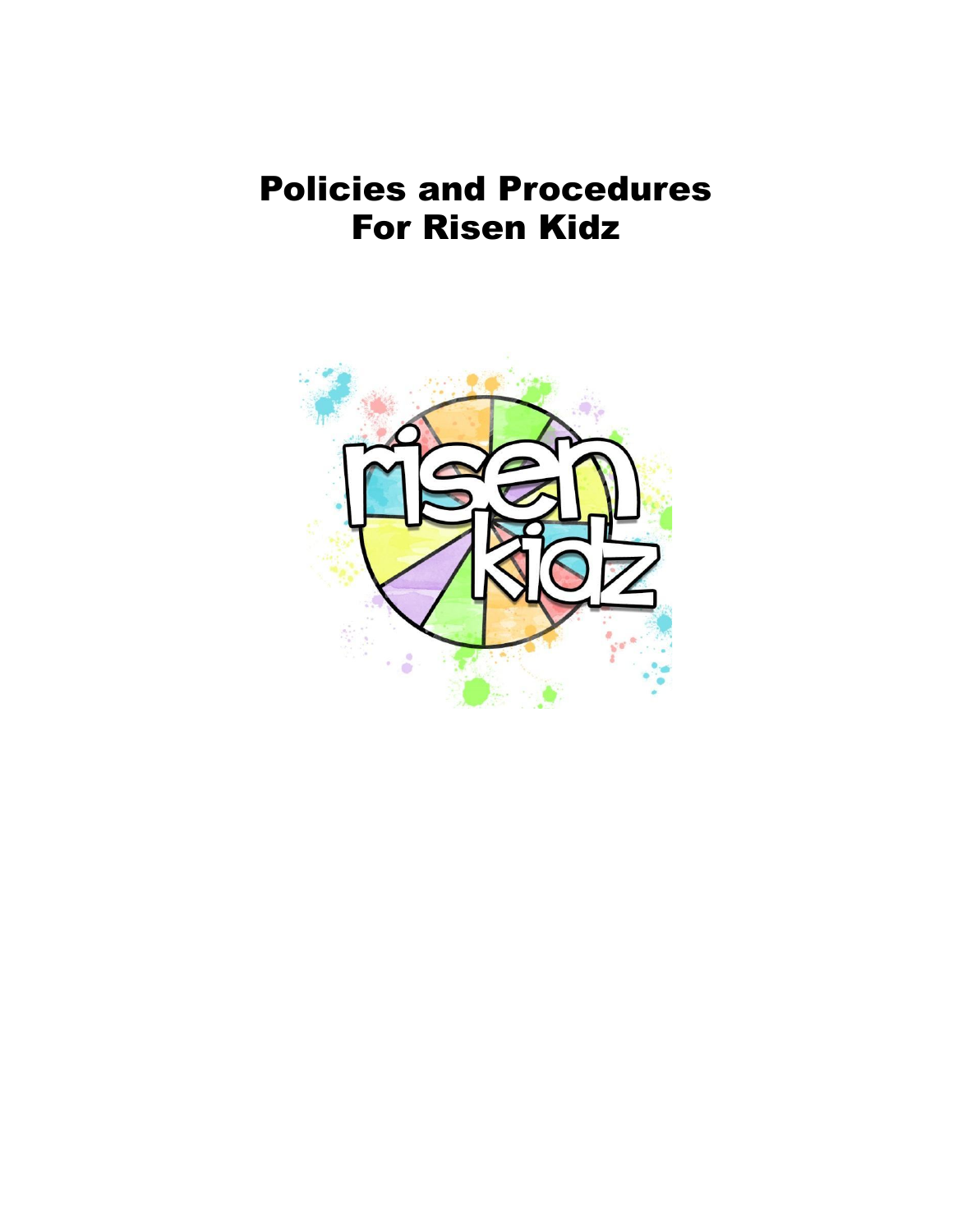## Policies and Procedures For Risen Kidz

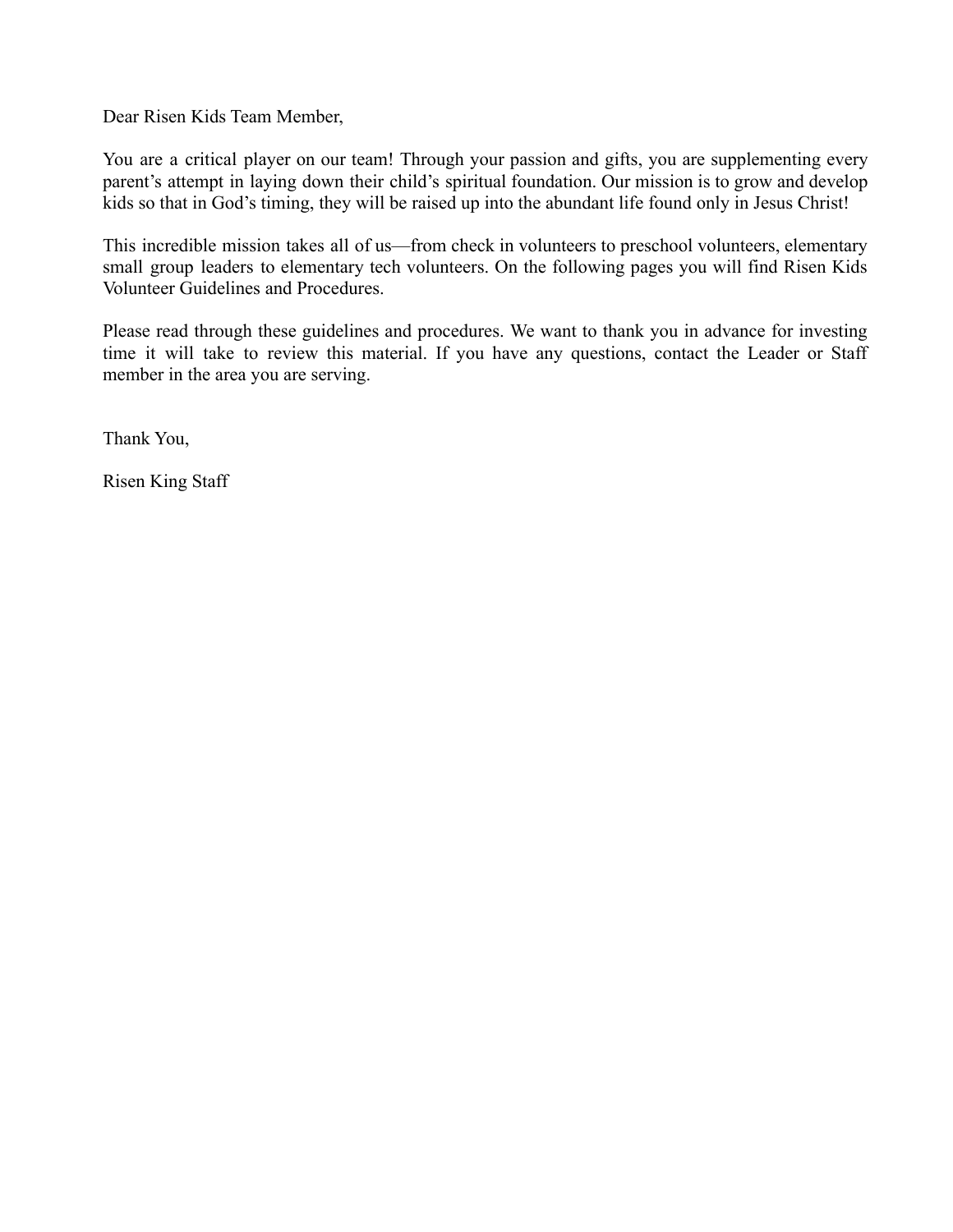Dear Risen Kids Team Member,

You are a critical player on our team! Through your passion and gifts, you are supplementing every parent's attempt in laying down their child's spiritual foundation. Our mission is to grow and develop kids so that in God's timing, they will be raised up into the abundant life found only in Jesus Christ!

This incredible mission takes all of us—from check in volunteers to preschool volunteers, elementary small group leaders to elementary tech volunteers. On the following pages you will find Risen Kids Volunteer Guidelines and Procedures.

Please read through these guidelines and procedures. We want to thank you in advance for investing time it will take to review this material. If you have any questions, contact the Leader or Staff member in the area you are serving.

Thank You,

Risen King Staff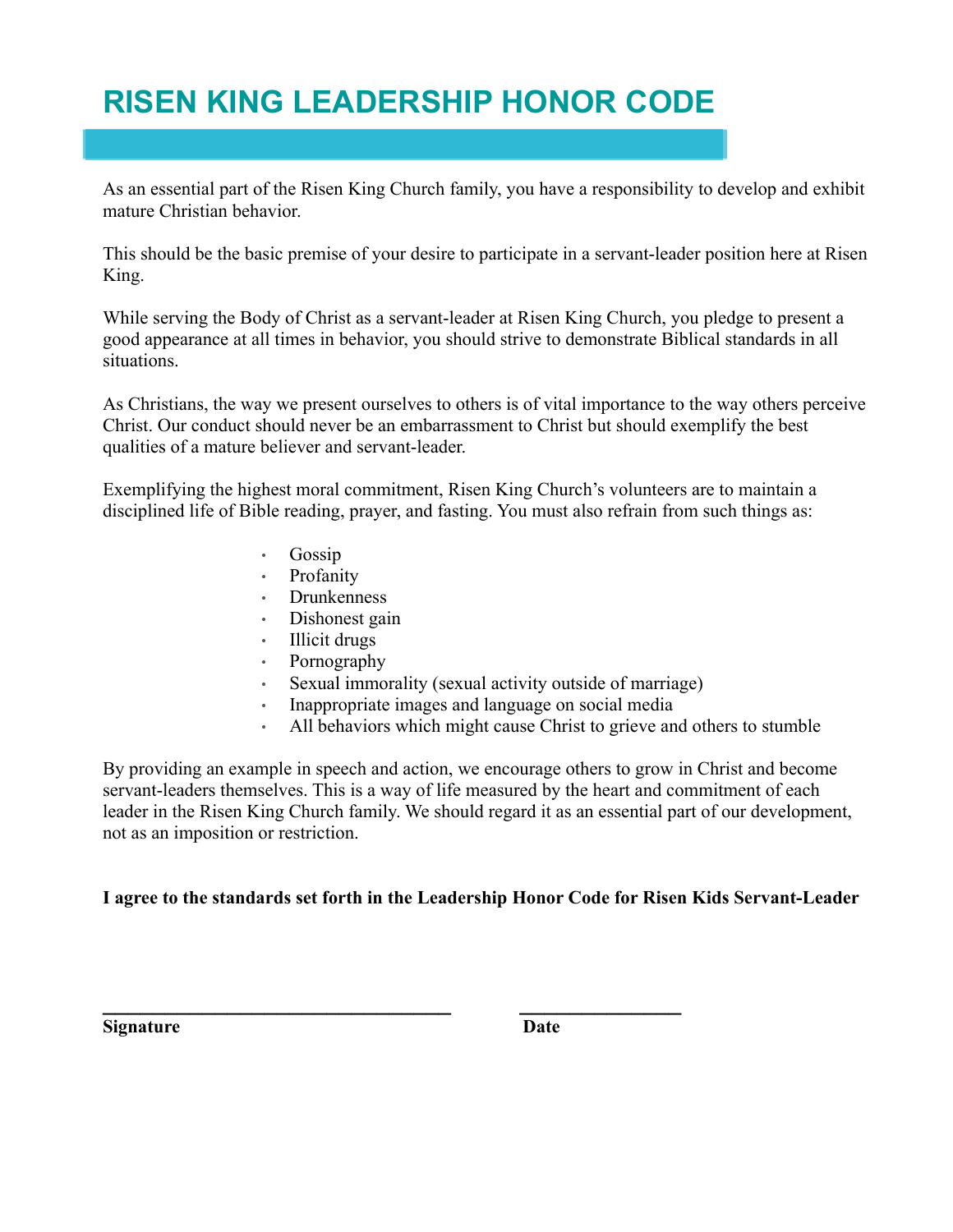## **RISEN KING LEADERSHIP HONOR CODE**

As an essential part of the Risen King Church family, you have a responsibility to develop and exhibit mature Christian behavior.

This should be the basic premise of your desire to participate in a servant-leader position here at Risen King.

While serving the Body of Christ as a servant-leader at Risen King Church, you pledge to present a good appearance at all times in behavior, you should strive to demonstrate Biblical standards in all situations.

As Christians, the way we present ourselves to others is of vital importance to the way others perceive Christ. Our conduct should never be an embarrassment to Christ but should exemplify the best qualities of a mature believer and servant-leader.

Exemplifying the highest moral commitment, Risen King Church's volunteers are to maintain a disciplined life of Bible reading, prayer, and fasting. You must also refrain from such things as:

- Gossip
- **Profanity**
- Drunkenness
- Dishonest gain
- Illicit drugs
- Pornography
- Sexual immorality (sexual activity outside of marriage)
- Inappropriate images and language on social media
- All behaviors which might cause Christ to grieve and others to stumble

By providing an example in speech and action, we encourage others to grow in Christ and become servant-leaders themselves. This is a way of life measured by the heart and commitment of each leader in the Risen King Church family. We should regard it as an essential part of our development, not as an imposition or restriction.

#### **I agree to the standards set forth in the Leadership Honor Code for Risen Kids Servant-Leader**

**\_\_\_\_\_\_\_\_\_\_\_\_\_\_\_\_\_\_\_\_\_\_\_\_\_\_\_\_ \_\_\_\_\_\_\_\_\_\_\_\_\_**

**Signature Date**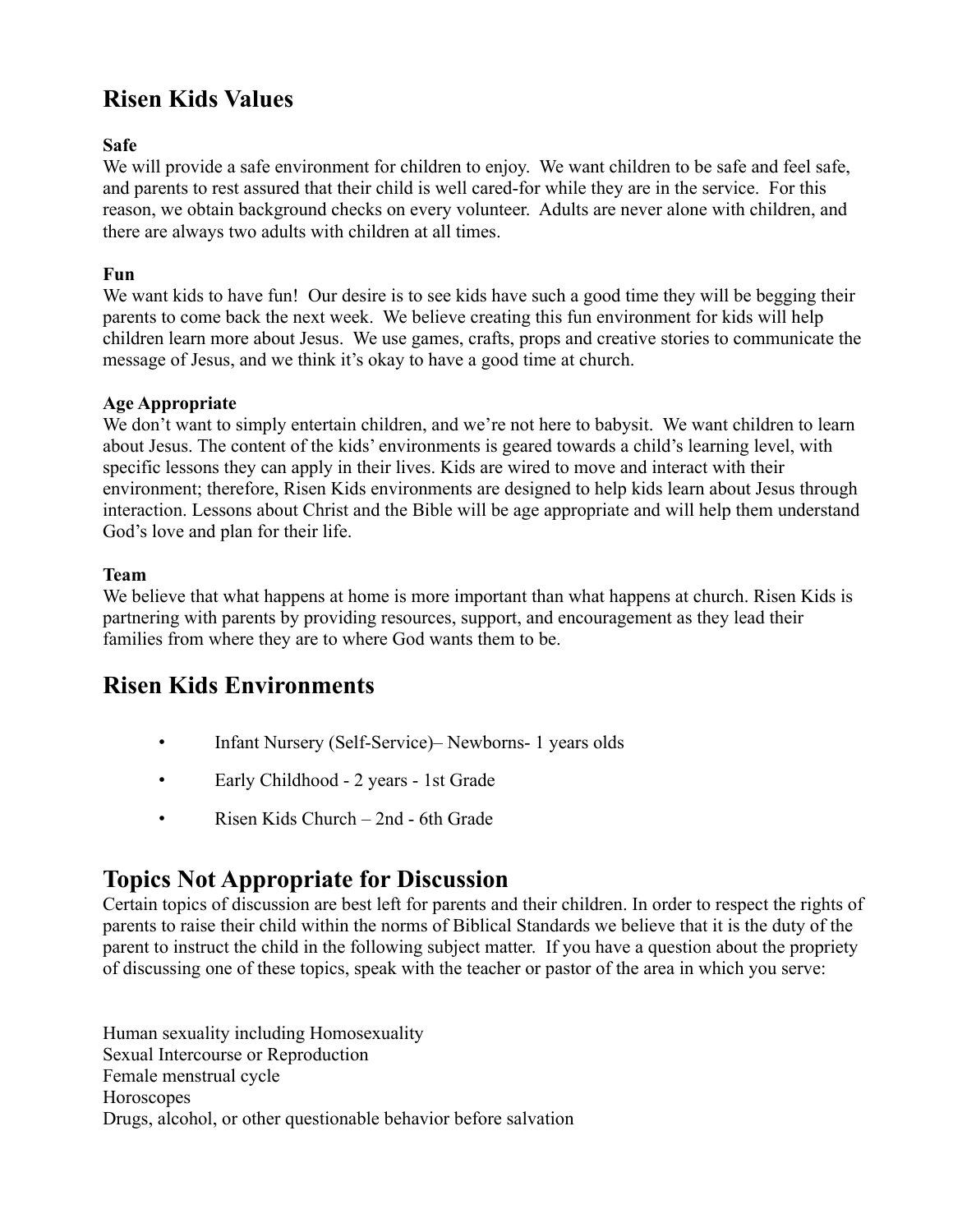## **Risen Kids Values**

#### **Safe**

We will provide a safe environment for children to enjoy. We want children to be safe and feel safe, and parents to rest assured that their child is well cared-for while they are in the service. For this reason, we obtain background checks on every volunteer. Adults are never alone with children, and there are always two adults with children at all times.

#### **Fun**

We want kids to have fun! Our desire is to see kids have such a good time they will be begging their parents to come back the next week. We believe creating this fun environment for kids will help children learn more about Jesus. We use games, crafts, props and creative stories to communicate the message of Jesus, and we think it's okay to have a good time at church.

#### **Age Appropriate**

We don't want to simply entertain children, and we're not here to babysit. We want children to learn about Jesus. The content of the kids' environments is geared towards a child's learning level, with specific lessons they can apply in their lives. Kids are wired to move and interact with their environment; therefore, Risen Kids environments are designed to help kids learn about Jesus through interaction. Lessons about Christ and the Bible will be age appropriate and will help them understand God's love and plan for their life.

#### **Team**

We believe that what happens at home is more important than what happens at church. Risen Kids is partnering with parents by providing resources, support, and encouragement as they lead their families from where they are to where God wants them to be.

#### **Risen Kids Environments**

- Infant Nursery (Self-Service)– Newborns- 1 years olds
- Early Childhood 2 years 1st Grade
- Risen Kids Church 2nd 6th Grade

#### **Topics Not Appropriate for Discussion**

Certain topics of discussion are best left for parents and their children. In order to respect the rights of parents to raise their child within the norms of Biblical Standards we believe that it is the duty of the parent to instruct the child in the following subject matter. If you have a question about the propriety of discussing one of these topics, speak with the teacher or pastor of the area in which you serve:

Human sexuality including Homosexuality Sexual Intercourse or Reproduction Female menstrual cycle **Horoscopes** Drugs, alcohol, or other questionable behavior before salvation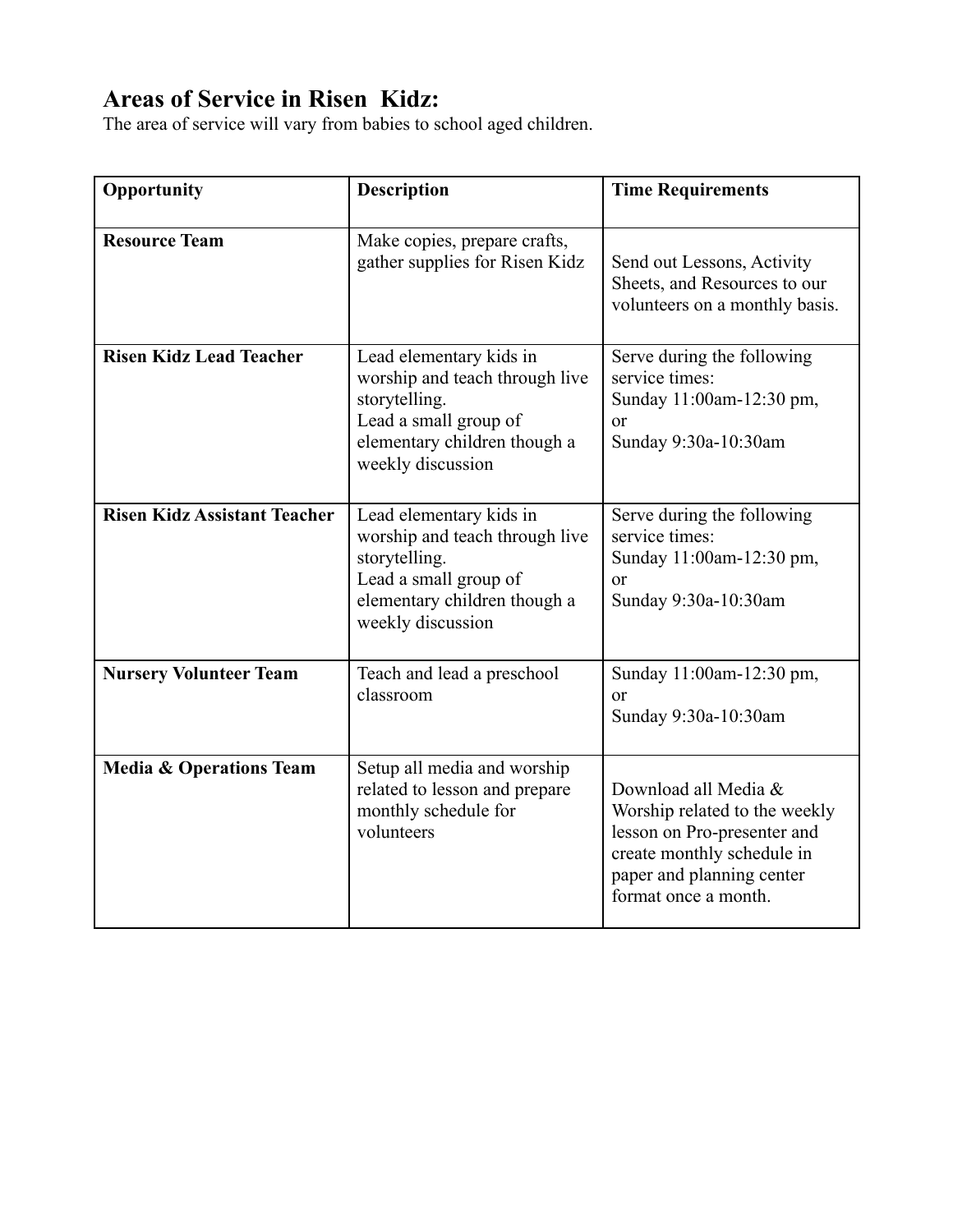## **Areas of Service in Risen Kidz:**

The area of service will vary from babies to school aged children.

| Opportunity                         | <b>Description</b>                                                                                                                                       | <b>Time Requirements</b>                                                                                                                                                |
|-------------------------------------|----------------------------------------------------------------------------------------------------------------------------------------------------------|-------------------------------------------------------------------------------------------------------------------------------------------------------------------------|
| <b>Resource Team</b>                | Make copies, prepare crafts,<br>gather supplies for Risen Kidz                                                                                           | Send out Lessons, Activity<br>Sheets, and Resources to our<br>volunteers on a monthly basis.                                                                            |
| <b>Risen Kidz Lead Teacher</b>      | Lead elementary kids in<br>worship and teach through live<br>storytelling.<br>Lead a small group of<br>elementary children though a<br>weekly discussion | Serve during the following<br>service times:<br>Sunday 11:00am-12:30 pm,<br><sub>or</sub><br>Sunday 9:30a-10:30am                                                       |
| <b>Risen Kidz Assistant Teacher</b> | Lead elementary kids in<br>worship and teach through live<br>storytelling.<br>Lead a small group of<br>elementary children though a<br>weekly discussion | Serve during the following<br>service times:<br>Sunday 11:00am-12:30 pm,<br>$\alpha$<br>Sunday 9:30a-10:30am                                                            |
| <b>Nursery Volunteer Team</b>       | Teach and lead a preschool<br>classroom                                                                                                                  | Sunday 11:00am-12:30 pm,<br>$\alpha$<br>Sunday 9:30a-10:30am                                                                                                            |
| <b>Media &amp; Operations Team</b>  | Setup all media and worship<br>related to lesson and prepare<br>monthly schedule for<br>volunteers                                                       | Download all Media &<br>Worship related to the weekly<br>lesson on Pro-presenter and<br>create monthly schedule in<br>paper and planning center<br>format once a month. |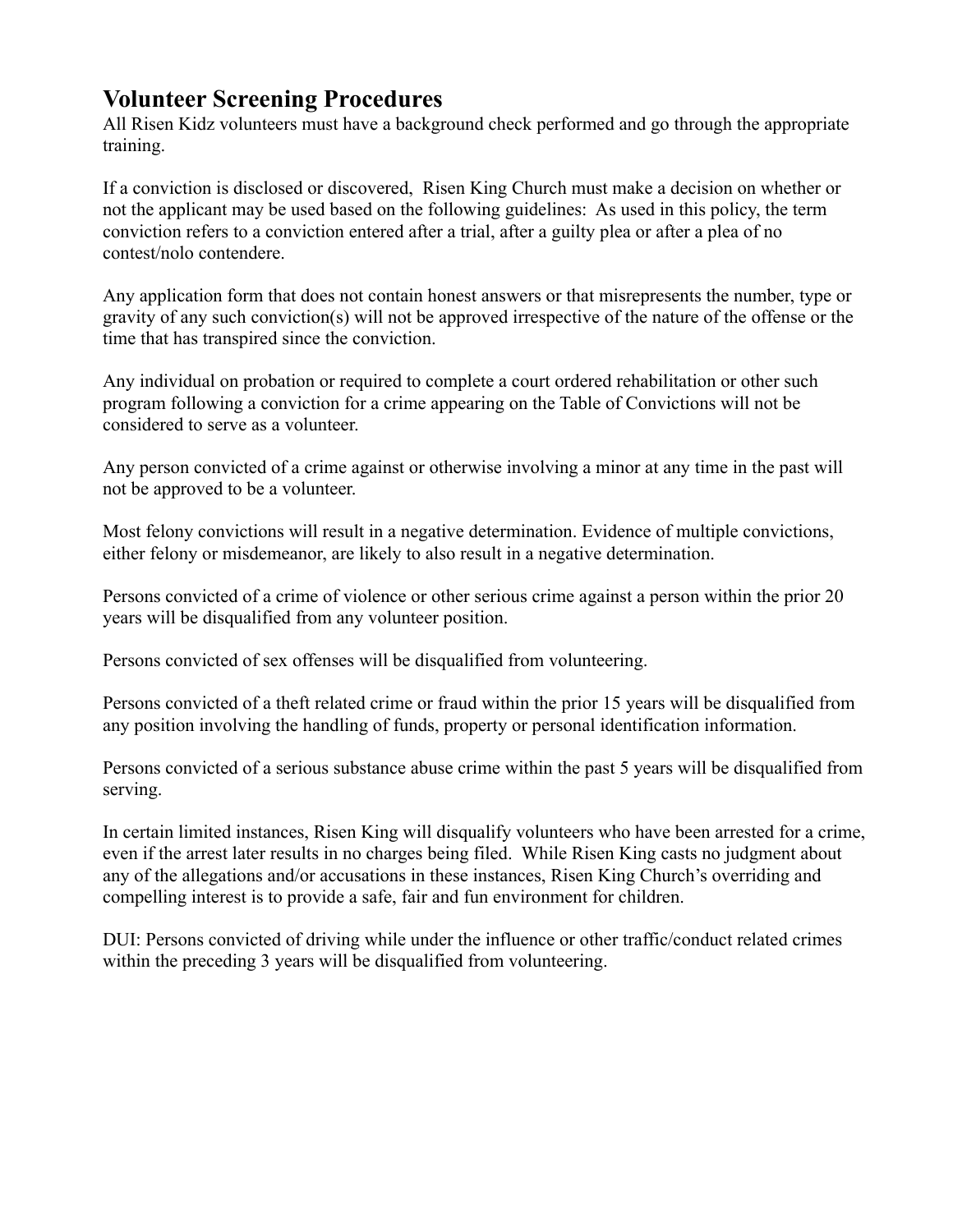#### **Volunteer Screening Procedures**

All Risen Kidz volunteers must have a background check performed and go through the appropriate training.

If a conviction is disclosed or discovered, Risen King Church must make a decision on whether or not the applicant may be used based on the following guidelines: As used in this policy, the term conviction refers to a conviction entered after a trial, after a guilty plea or after a plea of no contest/nolo contendere.

Any application form that does not contain honest answers or that misrepresents the number, type or gravity of any such conviction(s) will not be approved irrespective of the nature of the offense or the time that has transpired since the conviction.

Any individual on probation or required to complete a court ordered rehabilitation or other such program following a conviction for a crime appearing on the Table of Convictions will not be considered to serve as a volunteer.

Any person convicted of a crime against or otherwise involving a minor at any time in the past will not be approved to be a volunteer.

Most felony convictions will result in a negative determination. Evidence of multiple convictions, either felony or misdemeanor, are likely to also result in a negative determination.

Persons convicted of a crime of violence or other serious crime against a person within the prior 20 years will be disqualified from any volunteer position.

Persons convicted of sex offenses will be disqualified from volunteering.

Persons convicted of a theft related crime or fraud within the prior 15 years will be disqualified from any position involving the handling of funds, property or personal identification information.

Persons convicted of a serious substance abuse crime within the past 5 years will be disqualified from serving.

In certain limited instances, Risen King will disqualify volunteers who have been arrested for a crime, even if the arrest later results in no charges being filed. While Risen King casts no judgment about any of the allegations and/or accusations in these instances, Risen King Church's overriding and compelling interest is to provide a safe, fair and fun environment for children.

DUI: Persons convicted of driving while under the influence or other traffic/conduct related crimes within the preceding 3 years will be disqualified from volunteering.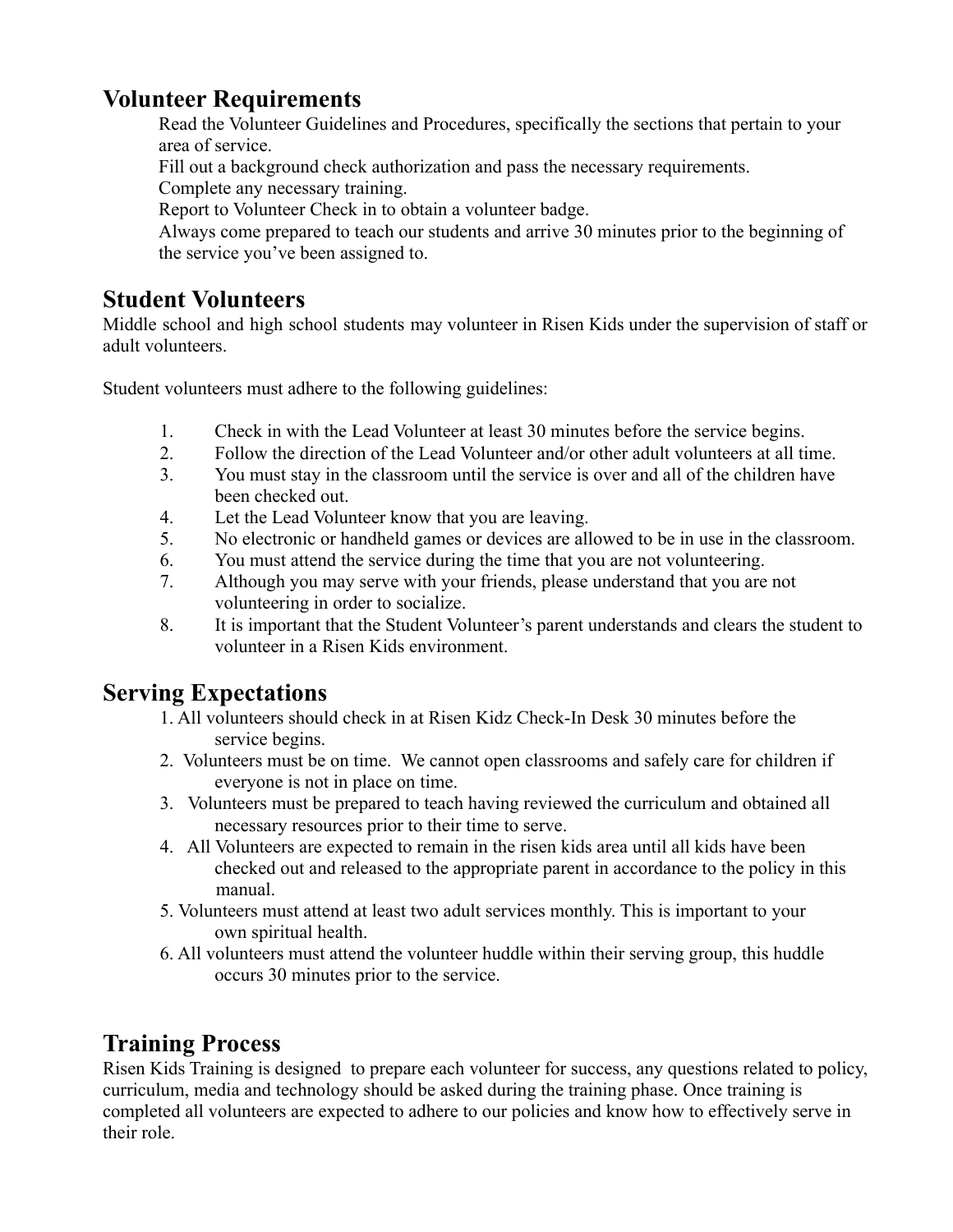#### **Volunteer Requirements**

Read the Volunteer Guidelines and Procedures, specifically the sections that pertain to your area of service.

Fill out a background check authorization and pass the necessary requirements.

Complete any necessary training.

Report to Volunteer Check in to obtain a volunteer badge.

Always come prepared to teach our students and arrive 30 minutes prior to the beginning of the service you've been assigned to.

### **Student Volunteers**

Middle school and high school students may volunteer in Risen Kids under the supervision of staff or adult volunteers.

Student volunteers must adhere to the following guidelines:

- 1. Check in with the Lead Volunteer at least 30 minutes before the service begins.
- 2. Follow the direction of the Lead Volunteer and/or other adult volunteers at all time.
- 3. You must stay in the classroom until the service is over and all of the children have been checked out.
- 4. Let the Lead Volunteer know that you are leaving.
- 5. No electronic or handheld games or devices are allowed to be in use in the classroom.
- 6. You must attend the service during the time that you are not volunteering.
- 7. Although you may serve with your friends, please understand that you are not volunteering in order to socialize.
- 8. It is important that the Student Volunteer's parent understands and clears the student to volunteer in a Risen Kids environment.

#### **Serving Expectations**

- 1. All volunteers should check in at Risen Kidz Check-In Desk 30 minutes before the service begins.
- 2. Volunteers must be on time. We cannot open classrooms and safely care for children if everyone is not in place on time.
- 3. Volunteers must be prepared to teach having reviewed the curriculum and obtained all necessary resources prior to their time to serve.
- 4. All Volunteers are expected to remain in the risen kids area until all kids have been checked out and released to the appropriate parent in accordance to the policy in this manual.
- 5. Volunteers must attend at least two adult services monthly. This is important to your own spiritual health.
- 6. All volunteers must attend the volunteer huddle within their serving group, this huddle occurs 30 minutes prior to the service.

## **Training Process**

Risen Kids Training is designed to prepare each volunteer for success, any questions related to policy, curriculum, media and technology should be asked during the training phase. Once training is completed all volunteers are expected to adhere to our policies and know how to effectively serve in their role.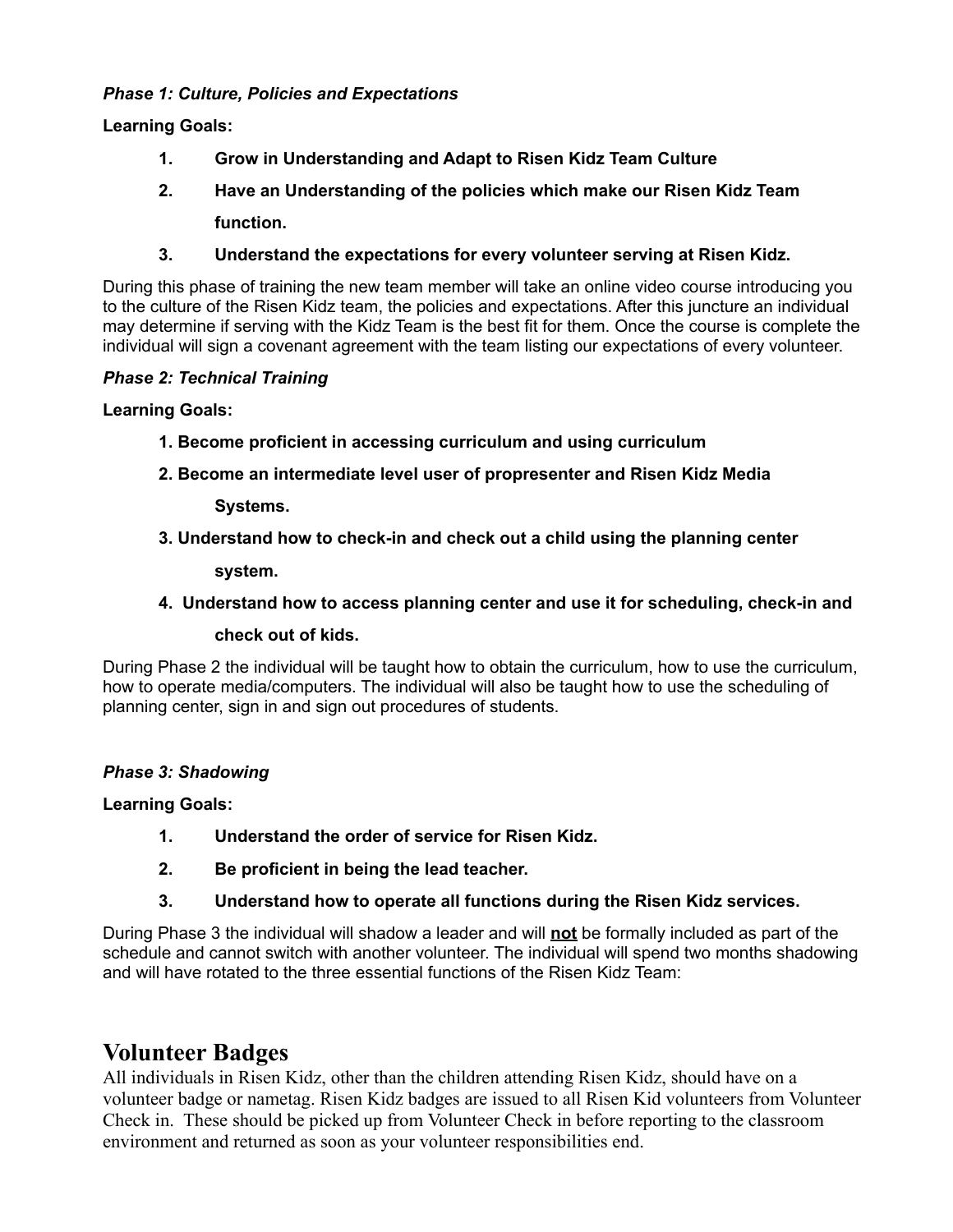#### *Phase 1: Culture, Policies and Expectations*

**Learning Goals:**

- **1. Grow in Understanding and Adapt to Risen Kidz Team Culture**
- **2. Have an Understanding of the policies which make our Risen Kidz Team function.**
- **3. Understand the expectations for every volunteer serving at Risen Kidz.**

During this phase of training the new team member will take an online video course introducing you to the culture of the Risen Kidz team, the policies and expectations. After this juncture an individual may determine if serving with the Kidz Team is the best fit for them. Once the course is complete the individual will sign a covenant agreement with the team listing our expectations of every volunteer.

#### *Phase 2: Technical Training*

**Learning Goals:**

- **1. Become proficient in accessing curriculum and using curriculum**
- **2. Become an intermediate level user of propresenter and Risen Kidz Media**

**Systems.**

**3. Understand how to check-in and check out a child using the planning center**

**system.**

**4. Understand how to access planning center and use it for scheduling, check-in and**

**check out of kids.**

During Phase 2 the individual will be taught how to obtain the curriculum, how to use the curriculum, how to operate media/computers. The individual will also be taught how to use the scheduling of planning center, sign in and sign out procedures of students.

#### *Phase 3: Shadowing*

**Learning Goals:**

- **1. Understand the order of service for Risen Kidz.**
- **2. Be proficient in being the lead teacher.**
- **3. Understand how to operate all functions during the Risen Kidz services.**

During Phase 3 the individual will shadow a leader and will **not** be formally included as part of the schedule and cannot switch with another volunteer. The individual will spend two months shadowing and will have rotated to the three essential functions of the Risen Kidz Team:

#### **Volunteer Badges**

All individuals in Risen Kidz, other than the children attending Risen Kidz, should have on a volunteer badge or nametag. Risen Kidz badges are issued to all Risen Kid volunteers from Volunteer Check in. These should be picked up from Volunteer Check in before reporting to the classroom environment and returned as soon as your volunteer responsibilities end.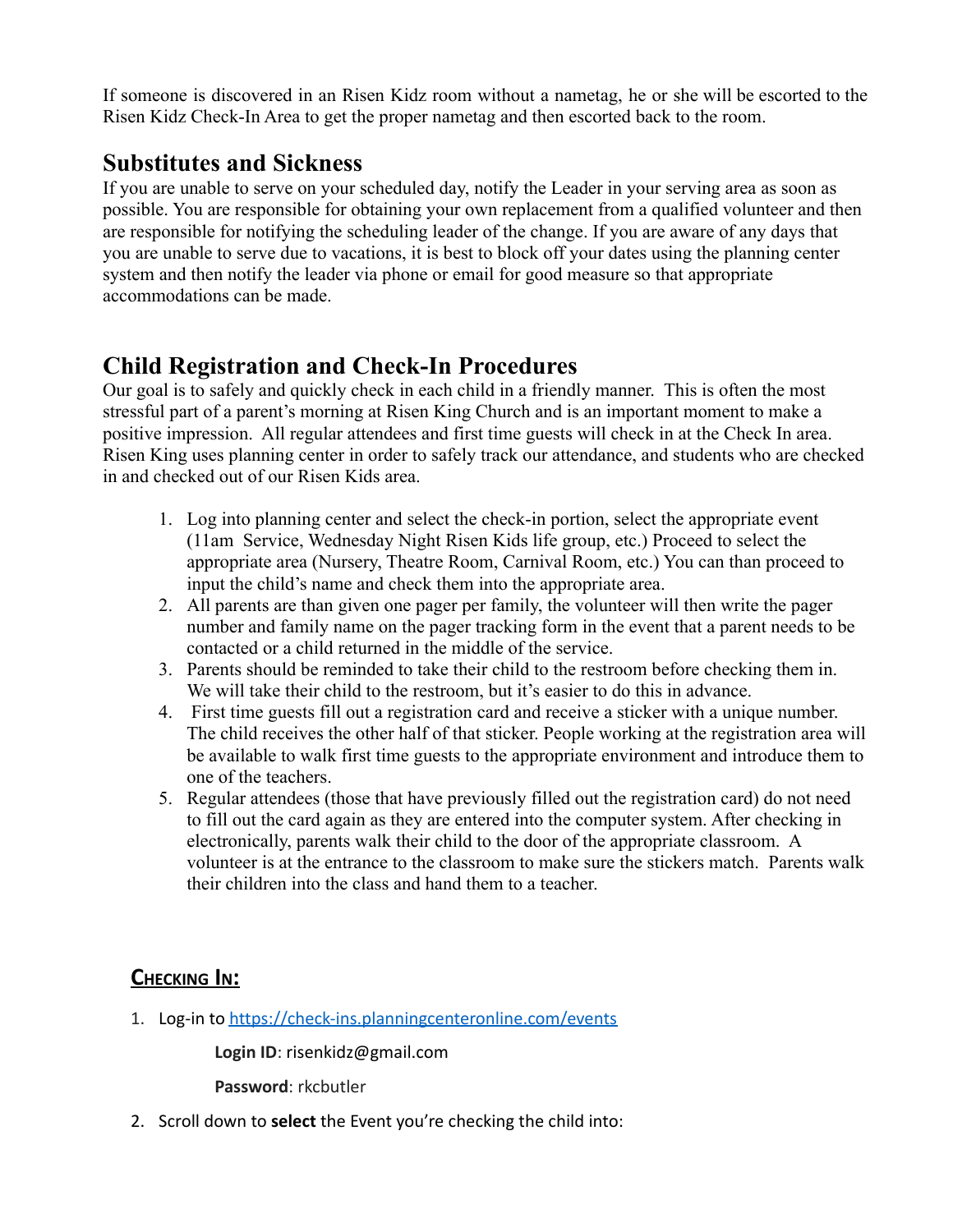If someone is discovered in an Risen Kidz room without a nametag, he or she will be escorted to the Risen Kidz Check-In Area to get the proper nametag and then escorted back to the room.

#### **Substitutes and Sickness**

If you are unable to serve on your scheduled day, notify the Leader in your serving area as soon as possible. You are responsible for obtaining your own replacement from a qualified volunteer and then are responsible for notifying the scheduling leader of the change. If you are aware of any days that you are unable to serve due to vacations, it is best to block off your dates using the planning center system and then notify the leader via phone or email for good measure so that appropriate accommodations can be made.

## **Child Registration and Check-In Procedures**

Our goal is to safely and quickly check in each child in a friendly manner. This is often the most stressful part of a parent's morning at Risen King Church and is an important moment to make a positive impression. All regular attendees and first time guests will check in at the Check In area. Risen King uses planning center in order to safely track our attendance, and students who are checked in and checked out of our Risen Kids area.

- 1. Log into planning center and select the check-in portion, select the appropriate event (11am Service, Wednesday Night Risen Kids life group, etc.) Proceed to select the appropriate area (Nursery, Theatre Room, Carnival Room, etc.) You can than proceed to input the child's name and check them into the appropriate area.
- 2. All parents are than given one pager per family, the volunteer will then write the pager number and family name on the pager tracking form in the event that a parent needs to be contacted or a child returned in the middle of the service.
- 3. Parents should be reminded to take their child to the restroom before checking them in. We will take their child to the restroom, but it's easier to do this in advance.
- 4. First time guests fill out a registration card and receive a sticker with a unique number. The child receives the other half of that sticker. People working at the registration area will be available to walk first time guests to the appropriate environment and introduce them to one of the teachers.
- 5. Regular attendees (those that have previously filled out the registration card) do not need to fill out the card again as they are entered into the computer system. After checking in electronically, parents walk their child to the door of the appropriate classroom. A volunteer is at the entrance to the classroom to make sure the stickers match. Parents walk their children into the class and hand them to a teacher.

#### **CHECKING IN:**

1. Log-in to <https://check-ins.planningcenteronline.com/events>

**Login ID**: risenkidz@gmail.com

**Password**: rkcbutler

2. Scroll down to **select** the Event you're checking the child into: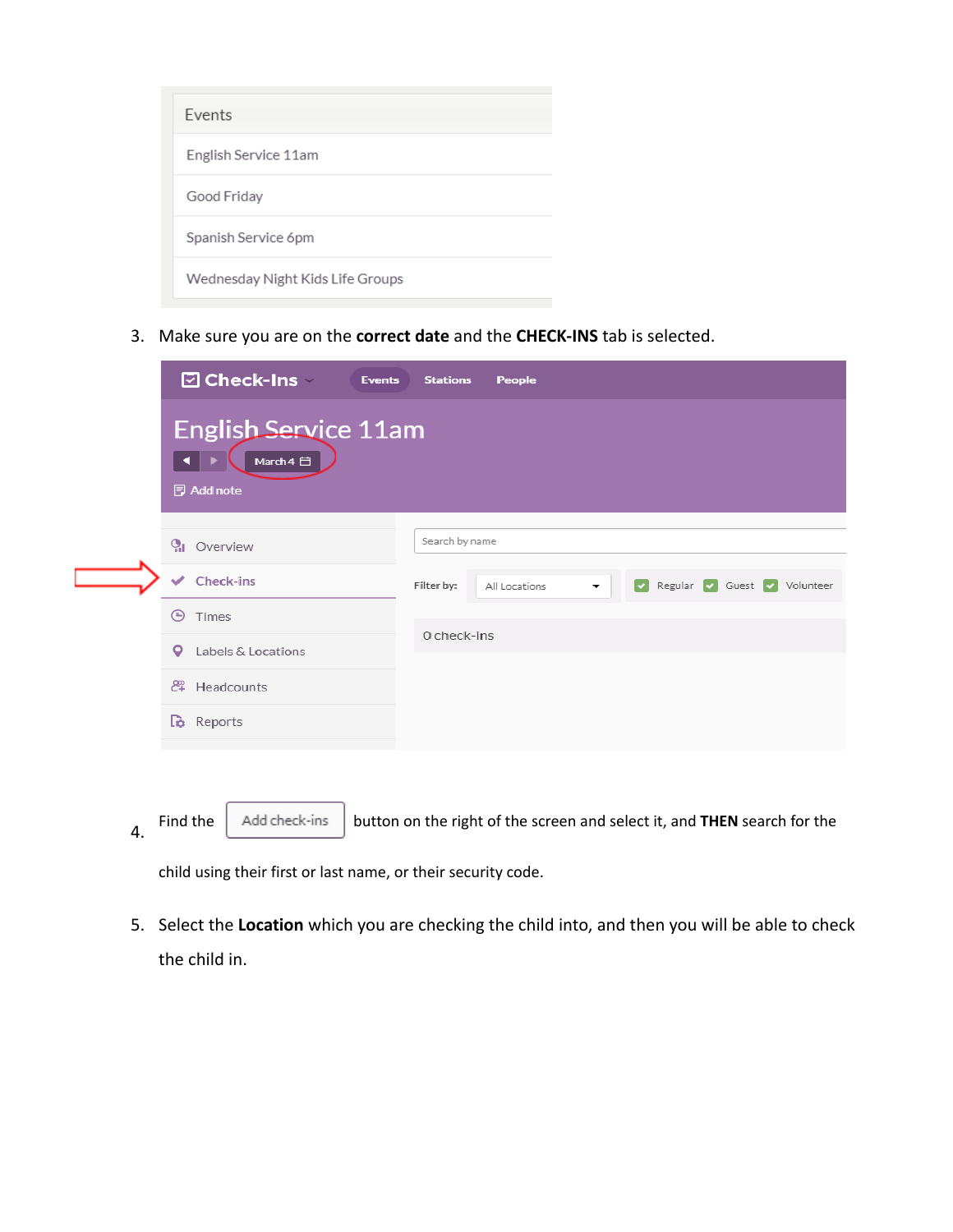| <b>Fvents</b>                    |
|----------------------------------|
| English Service 11am             |
| Good Friday                      |
| Spanish Service 6pm              |
| Wednesday Night Kids Life Groups |

3. Make sure you are on the **correct date** and the **CHECK-INS** tab is selected.

| <b>☑ Check-Ins</b> ·<br><b>Events</b>                         | <b>Stations</b><br>People                                                              |
|---------------------------------------------------------------|----------------------------------------------------------------------------------------|
| <b>English Service 11am</b><br>March 4 日<br><b>同 Add note</b> |                                                                                        |
| $Q_1$ Overview                                                | Search by name                                                                         |
| <b>Check-ins</b><br>$\checkmark$                              | Regular V Guest V Volunteer<br>Filter by:<br>All Locations<br>$\overline{\phantom{a}}$ |
| ⊕<br>Times                                                    |                                                                                        |
| Labels & Locations<br>o                                       | 0 check-ins                                                                            |
| <sup>2</sup> Headcounts                                       |                                                                                        |
| <b>Reports</b>                                                |                                                                                        |
|                                                               |                                                                                        |

4. Find the  $\begin{bmatrix} \end{bmatrix}$  Add check-ins button on the right of the screen and select it, and **THEN** search for the

child using their first or last name, or their security code.

5. Select the **Location** which you are checking the child into, and then you will be able to check the child in.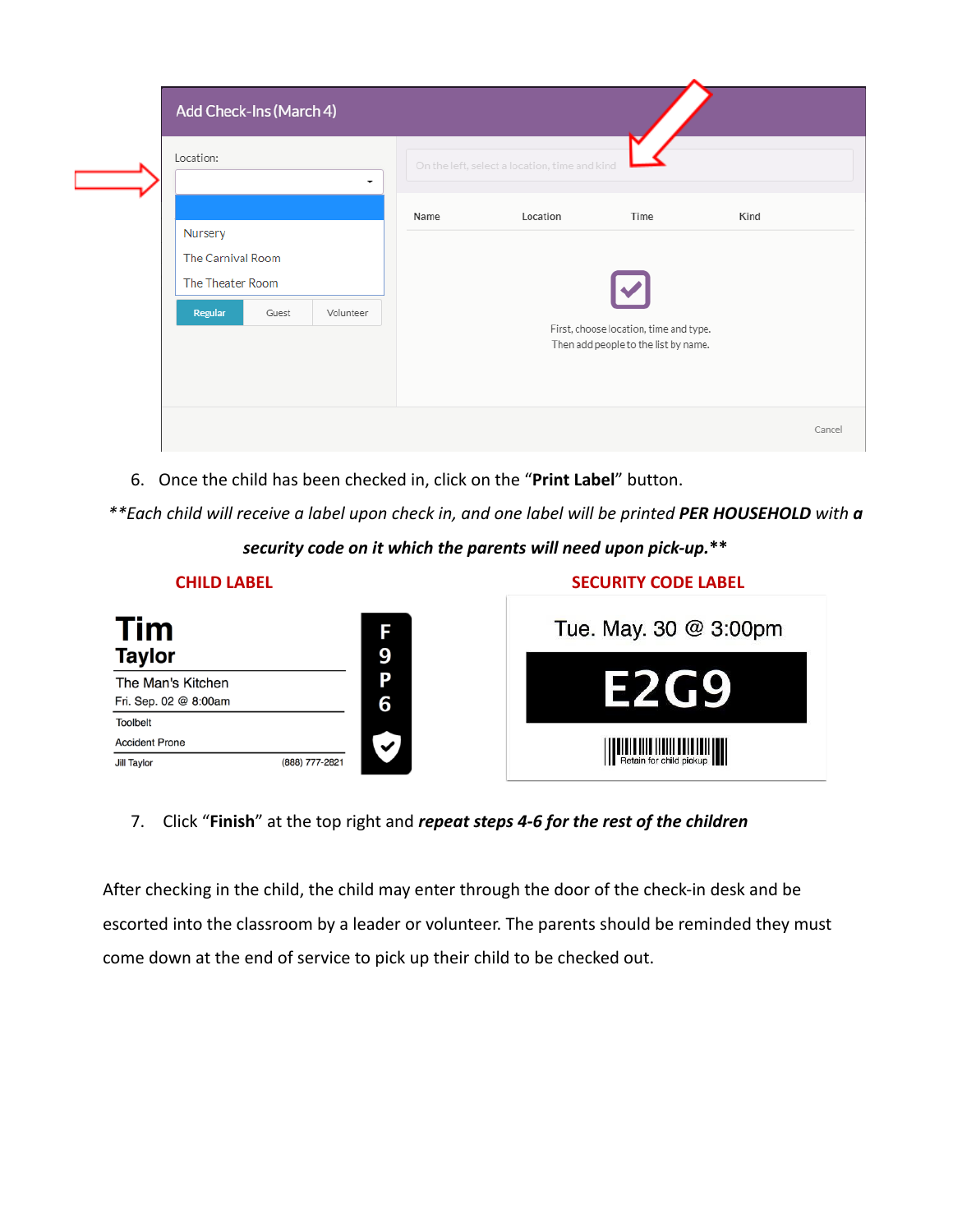| Add Check-Ins (March 4)                                                           |      |                                               |                                                                                        |      |        |
|-----------------------------------------------------------------------------------|------|-----------------------------------------------|----------------------------------------------------------------------------------------|------|--------|
| Location:<br>۰                                                                    |      | On the left, select a location, time and kind |                                                                                        |      |        |
| Nursery<br>The Carnival Room<br>The Theater Room<br>Regular<br>Guest<br>Volunteer | Name | Location                                      | Time<br>First, choose location, time and type.<br>Then add people to the list by name. | Kind |        |
|                                                                                   |      |                                               |                                                                                        |      | Cancel |

6. Once the child has been checked in, click on the "**Print Label**" button.

*\*\*Each child will receive a label upon check in, and one label will be printed PER HOUSEHOLD with a*

*security code on it which the parents will need upon pick-up.***\*\***

| <b>CHILD LABEL</b>                         |                |        | <b>SECURITY CODE LABEL</b> |
|--------------------------------------------|----------------|--------|----------------------------|
| Tim<br><b>Taylor</b>                       |                | F<br>9 | Tue. May. 30 @ 3:00pm      |
| The Man's Kitchen<br>Fri. Sep. 02 @ 8:00am |                | Ρ<br>6 | <b>12249</b>               |
| <b>Toolbelt</b>                            |                |        |                            |
| <b>Accident Prone</b>                      |                | ✓      |                            |
| <b>Jill Taylor</b>                         | (888) 777-2821 |        | Retain for child pickup    |

#### 7. Click "**Finish**" at the top right and *repeat steps 4-6 for the rest of the children*

After checking in the child, the child may enter through the door of the check-in desk and be escorted into the classroom by a leader or volunteer. The parents should be reminded they must come down at the end of service to pick up their child to be checked out.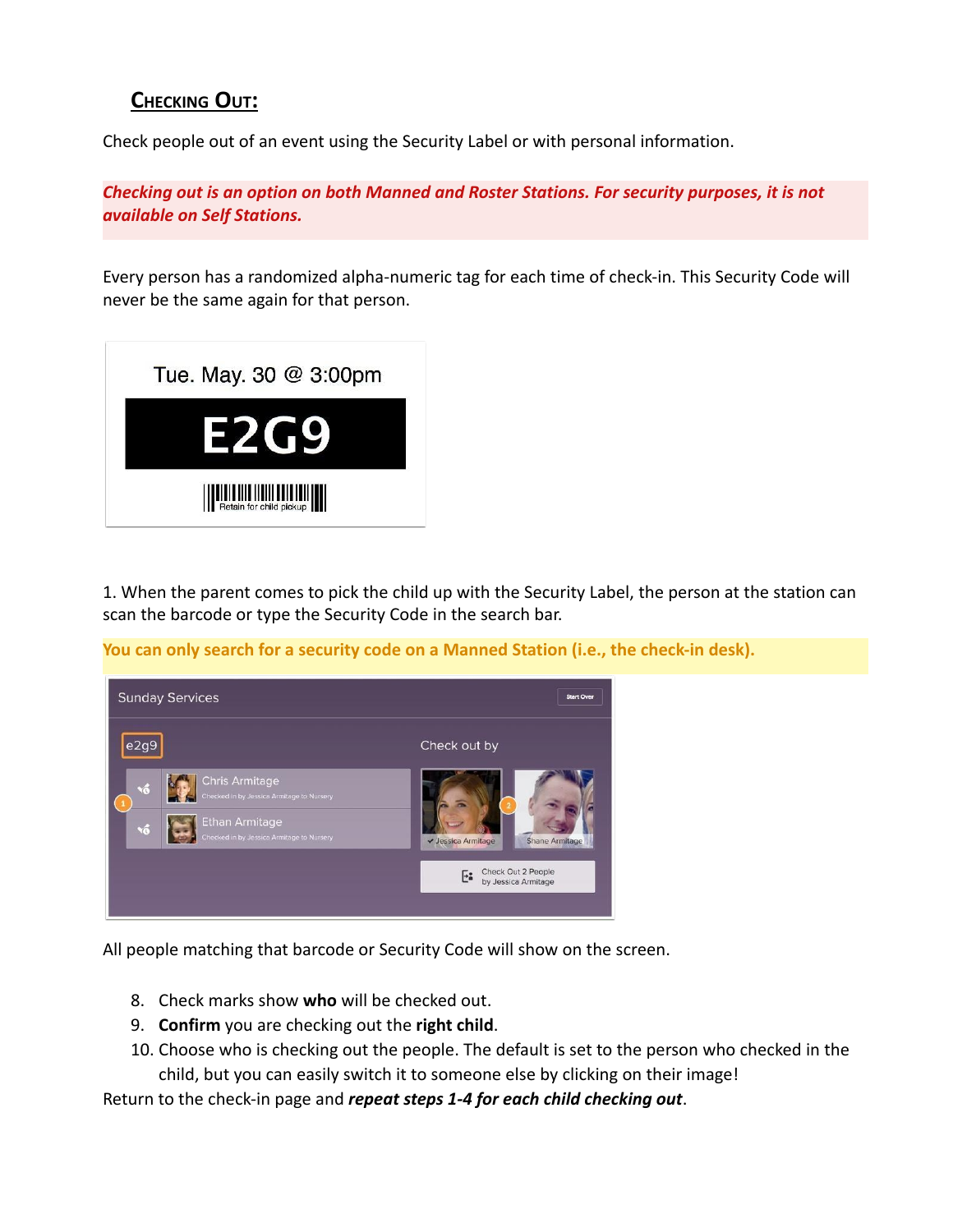#### **CHECKING OUT:**

Check people out of an event using the Security Label or with personal information.

*Checking out is an option on both Manned and Roster Stations. For security purposes, it is not available on Self Stations.*

Every person has a randomized alpha-numeric tag for each time of check-in. This Security Code will never be the same again for that person.



1. When the parent comes to pick the child up with the Security Label, the person at the station can scan the barcode or type the Security Code in the search bar.

**You can only search for a security code on a Manned Station (i.e., the check-in desk).**



All people matching that barcode or Security Code will show on the screen.

- 8. Check marks show **who** will be checked out.
- 9. **Confirm** you are checking out the **right child**.
- 10. Choose who is checking out the people. The default is set to the person who checked in the child, but you can easily switch it to someone else by clicking on their image!

Return to the check-in page and *repeat steps 1-4 for each child checking out*.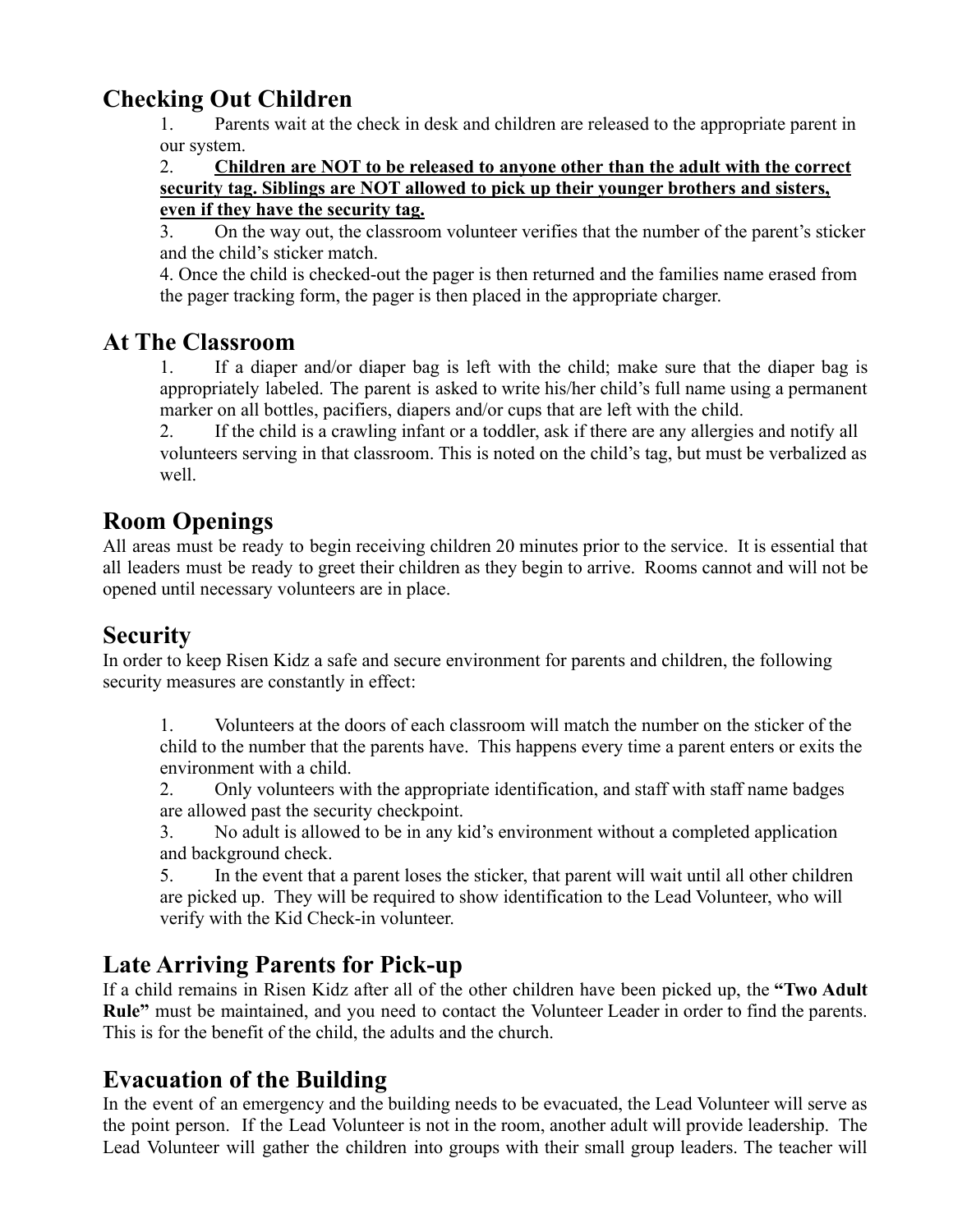#### **Checking Out Children**

1. Parents wait at the check in desk and children are released to the appropriate parent in our system.

#### 2. **Children are NOT to be released to anyone other than the adult with the correct security tag. Siblings are NOT allowed to pick up their younger brothers and sisters, even if they have the security tag.**

3. On the way out, the classroom volunteer verifies that the number of the parent's sticker and the child's sticker match.

4. Once the child is checked-out the pager is then returned and the families name erased from the pager tracking form, the pager is then placed in the appropriate charger.

#### **At The Classroom**

1. If a diaper and/or diaper bag is left with the child; make sure that the diaper bag is appropriately labeled. The parent is asked to write his/her child's full name using a permanent marker on all bottles, pacifiers, diapers and/or cups that are left with the child.

2. If the child is a crawling infant or a toddler, ask if there are any allergies and notify all volunteers serving in that classroom. This is noted on the child's tag, but must be verbalized as well.

#### **Room Openings**

All areas must be ready to begin receiving children 20 minutes prior to the service. It is essential that all leaders must be ready to greet their children as they begin to arrive. Rooms cannot and will not be opened until necessary volunteers are in place.

## **Security**

In order to keep Risen Kidz a safe and secure environment for parents and children, the following security measures are constantly in effect:

1. Volunteers at the doors of each classroom will match the number on the sticker of the child to the number that the parents have. This happens every time a parent enters or exits the environment with a child.

2. Only volunteers with the appropriate identification, and staff with staff name badges are allowed past the security checkpoint.

3. No adult is allowed to be in any kid's environment without a completed application and background check.

5. In the event that a parent loses the sticker, that parent will wait until all other children are picked up. They will be required to show identification to the Lead Volunteer, who will verify with the Kid Check-in volunteer.

#### **Late Arriving Parents for Pick-up**

If a child remains in Risen Kidz after all of the other children have been picked up, the **"Two Adult Rule"** must be maintained, and you need to contact the Volunteer Leader in order to find the parents. This is for the benefit of the child, the adults and the church.

## **Evacuation of the Building**

In the event of an emergency and the building needs to be evacuated, the Lead Volunteer will serve as the point person. If the Lead Volunteer is not in the room, another adult will provide leadership. The Lead Volunteer will gather the children into groups with their small group leaders. The teacher will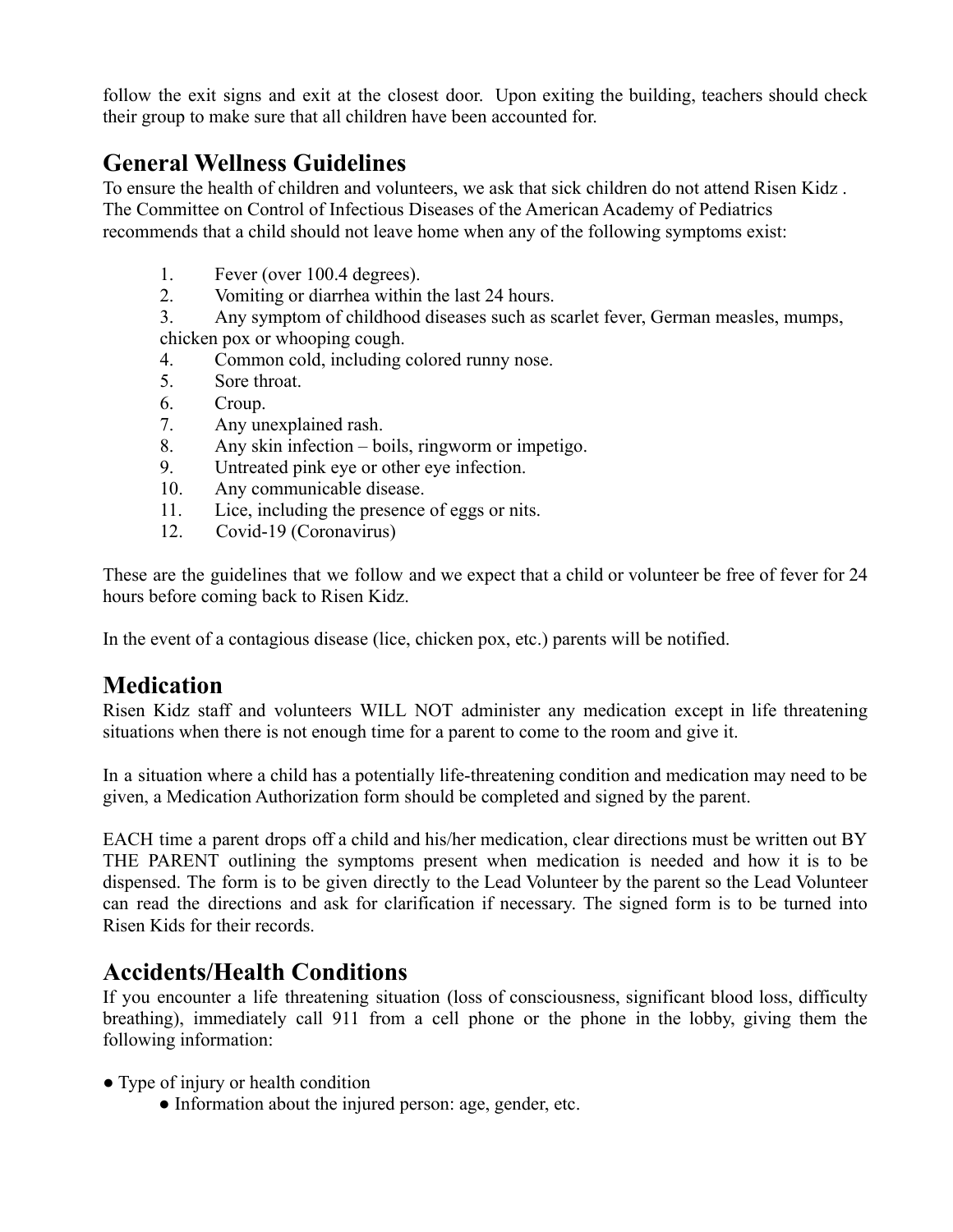follow the exit signs and exit at the closest door. Upon exiting the building, teachers should check their group to make sure that all children have been accounted for.

### **General Wellness Guidelines**

To ensure the health of children and volunteers, we ask that sick children do not attend Risen Kidz . The Committee on Control of Infectious Diseases of the American Academy of Pediatrics recommends that a child should not leave home when any of the following symptoms exist:

- 1. Fever (over 100.4 degrees).
- 2. Vomiting or diarrhea within the last 24 hours.

3. Any symptom of childhood diseases such as scarlet fever, German measles, mumps, chicken pox or whooping cough.

- 4. Common cold, including colored runny nose.
- 5. Sore throat.
- 6. Croup.
- 7. Any unexplained rash.
- 8. Any skin infection boils, ringworm or impetigo.
- 9. Untreated pink eye or other eye infection.
- 10. Any communicable disease.
- 11. Lice, including the presence of eggs or nits.
- 12. Covid-19 (Coronavirus)

These are the guidelines that we follow and we expect that a child or volunteer be free of fever for 24 hours before coming back to Risen Kidz.

In the event of a contagious disease (lice, chicken pox, etc.) parents will be notified.

#### **Medication**

Risen Kidz staff and volunteers WILL NOT administer any medication except in life threatening situations when there is not enough time for a parent to come to the room and give it.

In a situation where a child has a potentially life-threatening condition and medication may need to be given, a Medication Authorization form should be completed and signed by the parent.

EACH time a parent drops off a child and his/her medication, clear directions must be written out BY THE PARENT outlining the symptoms present when medication is needed and how it is to be dispensed. The form is to be given directly to the Lead Volunteer by the parent so the Lead Volunteer can read the directions and ask for clarification if necessary. The signed form is to be turned into Risen Kids for their records.

#### **Accidents/Health Conditions**

If you encounter a life threatening situation (loss of consciousness, significant blood loss, difficulty breathing), immediately call 911 from a cell phone or the phone in the lobby, giving them the following information:

- Type of injury or health condition
	- Information about the injured person: age, gender, etc.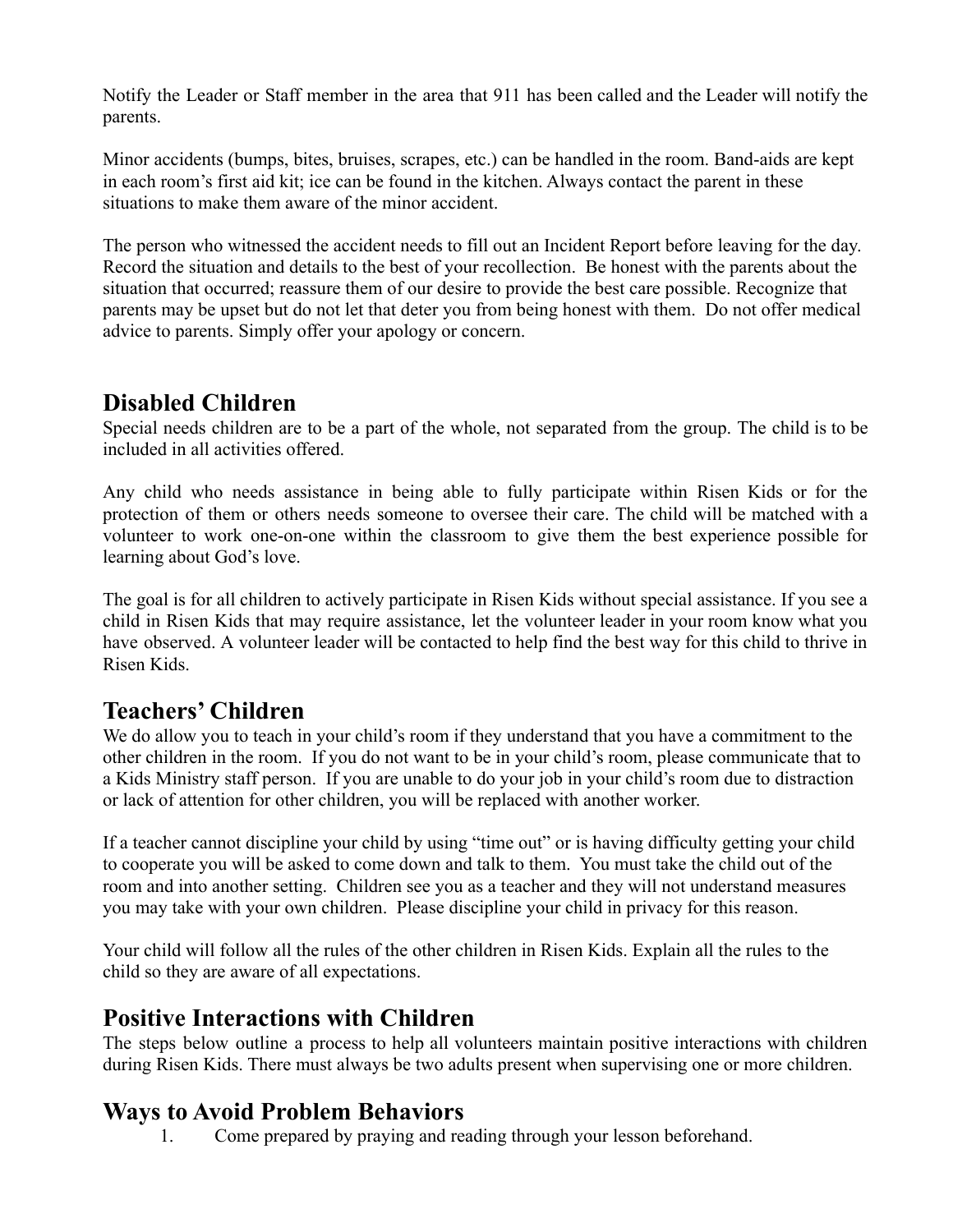Notify the Leader or Staff member in the area that 911 has been called and the Leader will notify the parents.

Minor accidents (bumps, bites, bruises, scrapes, etc.) can be handled in the room. Band-aids are kept in each room's first aid kit; ice can be found in the kitchen. Always contact the parent in these situations to make them aware of the minor accident.

The person who witnessed the accident needs to fill out an Incident Report before leaving for the day. Record the situation and details to the best of your recollection. Be honest with the parents about the situation that occurred; reassure them of our desire to provide the best care possible. Recognize that parents may be upset but do not let that deter you from being honest with them. Do not offer medical advice to parents. Simply offer your apology or concern.

### **Disabled Children**

Special needs children are to be a part of the whole, not separated from the group. The child is to be included in all activities offered.

Any child who needs assistance in being able to fully participate within Risen Kids or for the protection of them or others needs someone to oversee their care. The child will be matched with a volunteer to work one-on-one within the classroom to give them the best experience possible for learning about God's love.

The goal is for all children to actively participate in Risen Kids without special assistance. If you see a child in Risen Kids that may require assistance, let the volunteer leader in your room know what you have observed. A volunteer leader will be contacted to help find the best way for this child to thrive in Risen Kids.

## **Teachers' Children**

We do allow you to teach in your child's room if they understand that you have a commitment to the other children in the room. If you do not want to be in your child's room, please communicate that to a Kids Ministry staff person. If you are unable to do your job in your child's room due to distraction or lack of attention for other children, you will be replaced with another worker.

If a teacher cannot discipline your child by using "time out" or is having difficulty getting your child to cooperate you will be asked to come down and talk to them. You must take the child out of the room and into another setting. Children see you as a teacher and they will not understand measures you may take with your own children. Please discipline your child in privacy for this reason.

Your child will follow all the rules of the other children in Risen Kids. Explain all the rules to the child so they are aware of all expectations.

#### **Positive Interactions with Children**

The steps below outline a process to help all volunteers maintain positive interactions with children during Risen Kids. There must always be two adults present when supervising one or more children.

#### **Ways to Avoid Problem Behaviors**

1. Come prepared by praying and reading through your lesson beforehand.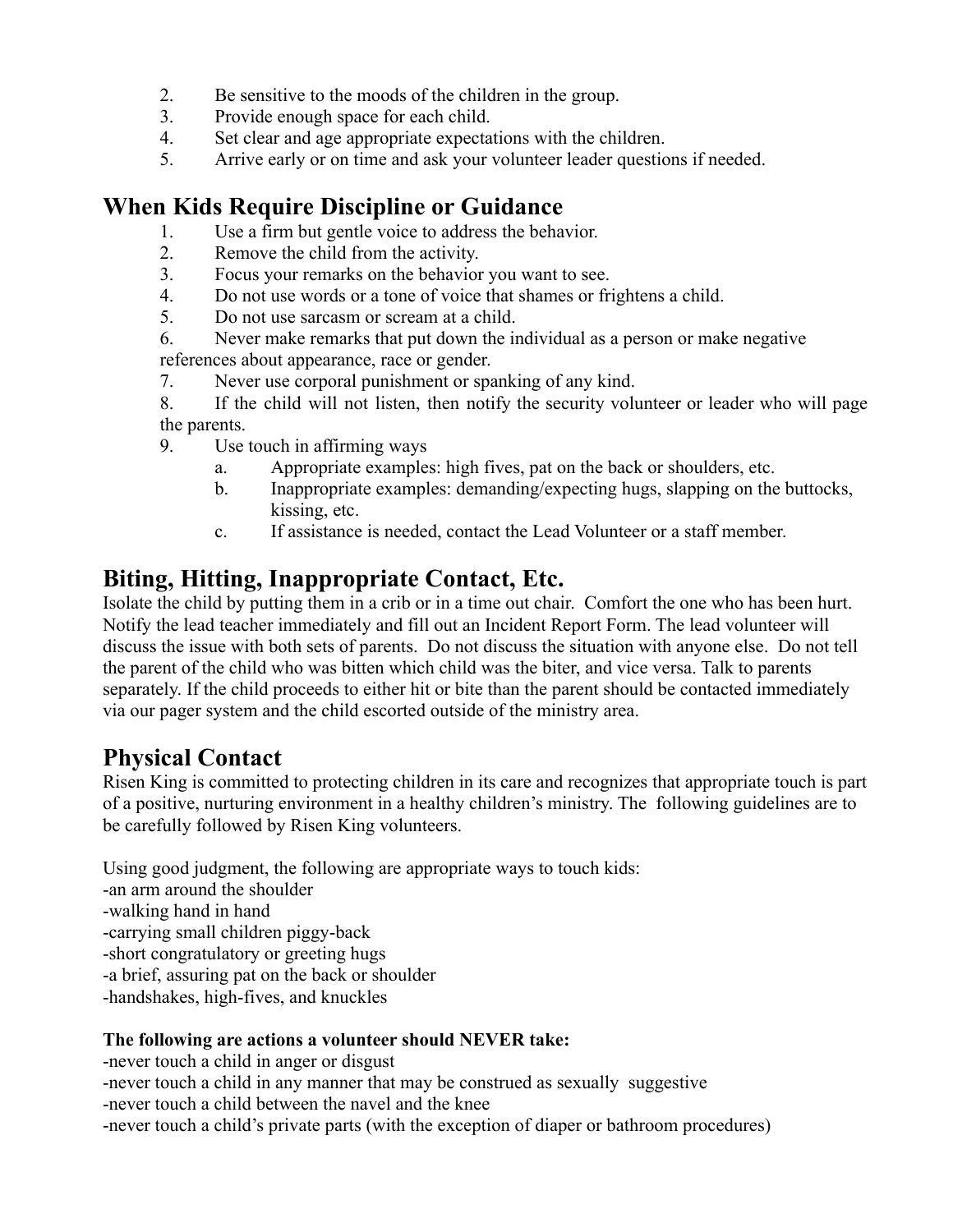- 2. Be sensitive to the moods of the children in the group.
- 3. Provide enough space for each child.
- 4. Set clear and age appropriate expectations with the children.
- 5. Arrive early or on time and ask your volunteer leader questions if needed.

#### **When Kids Require Discipline or Guidance**

- 1. Use a firm but gentle voice to address the behavior.
- 2. Remove the child from the activity.
- 3. Focus your remarks on the behavior you want to see.
- 4. Do not use words or a tone of voice that shames or frightens a child.
- 5. Do not use sarcasm or scream at a child.
- 6. Never make remarks that put down the individual as a person or make negative references about appearance, race or gender.
- 7. Never use corporal punishment or spanking of any kind.

8. If the child will not listen, then notify the security volunteer or leader who will page the parents.

- 9. Use touch in affirming ways
	- a. Appropriate examples: high fives, pat on the back or shoulders, etc.
	- b. Inappropriate examples: demanding/expecting hugs, slapping on the buttocks, kissing, etc.
	- c. If assistance is needed, contact the Lead Volunteer or a staff member.

#### **Biting, Hitting, Inappropriate Contact, Etc.**

Isolate the child by putting them in a crib or in a time out chair. Comfort the one who has been hurt. Notify the lead teacher immediately and fill out an Incident Report Form. The lead volunteer will discuss the issue with both sets of parents. Do not discuss the situation with anyone else. Do not tell the parent of the child who was bitten which child was the biter, and vice versa. Talk to parents separately. If the child proceeds to either hit or bite than the parent should be contacted immediately via our pager system and the child escorted outside of the ministry area.

#### **Physical Contact**

Risen King is committed to protecting children in its care and recognizes that appropriate touch is part of a positive, nurturing environment in a healthy children's ministry. The following guidelines are to be carefully followed by Risen King volunteers.

Using good judgment, the following are appropriate ways to touch kids:

- -an arm around the shoulder
- -walking hand in hand
- -carrying small children piggy-back
- -short congratulatory or greeting hugs

-a brief, assuring pat on the back or shoulder

-handshakes, high-fives, and knuckles

#### **The following are actions a volunteer should NEVER take:**

-never touch a child in anger or disgust -never touch a child in any manner that may be construed as sexually suggestive -never touch a child between the navel and the knee -never touch a child's private parts (with the exception of diaper or bathroom procedures)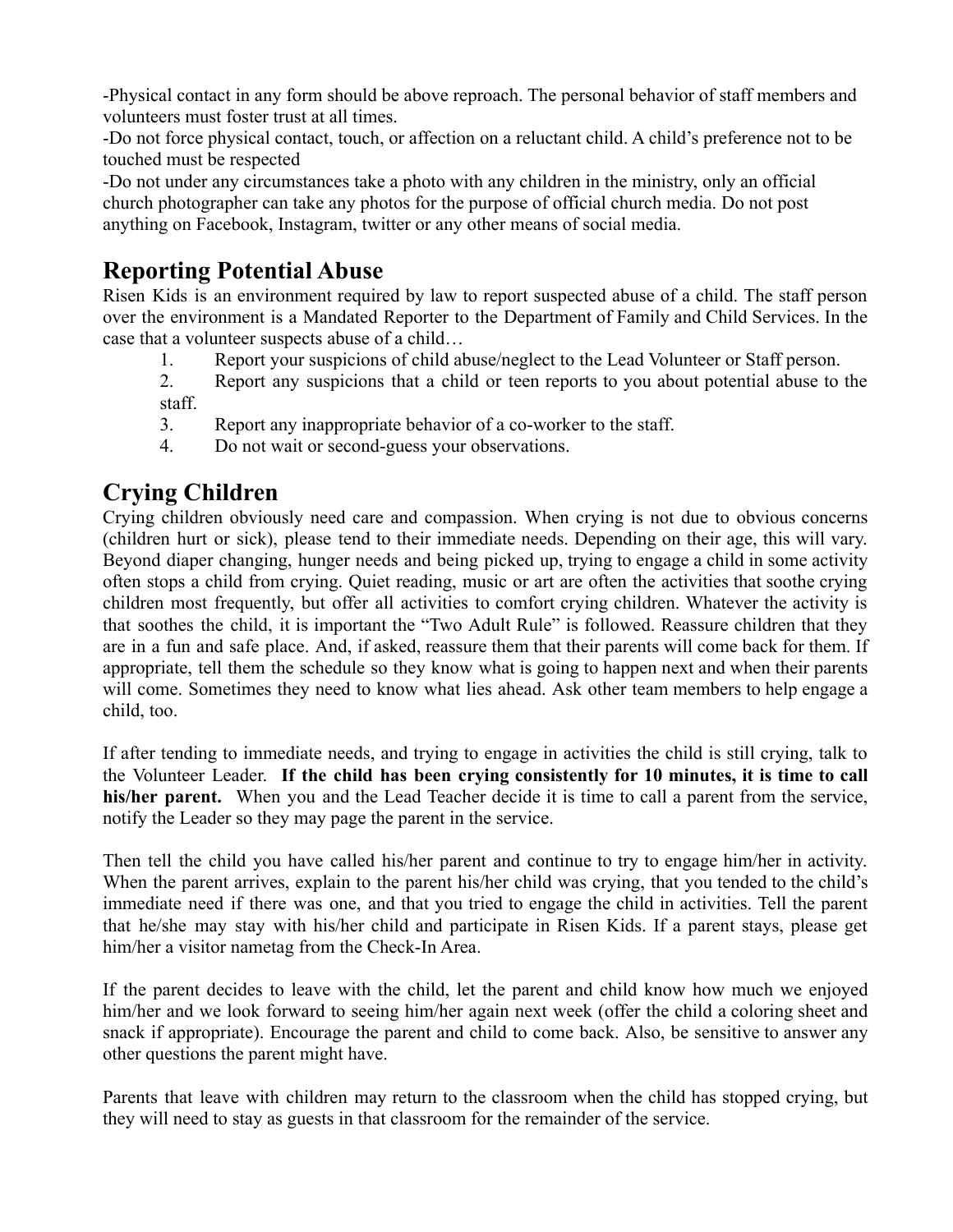-Physical contact in any form should be above reproach. The personal behavior of staff members and volunteers must foster trust at all times.

-Do not force physical contact, touch, or affection on a reluctant child. A child's preference not to be touched must be respected

-Do not under any circumstances take a photo with any children in the ministry, only an official church photographer can take any photos for the purpose of official church media. Do not post anything on Facebook, Instagram, twitter or any other means of social media.

## **Reporting Potential Abuse**

Risen Kids is an environment required by law to report suspected abuse of a child. The staff person over the environment is a Mandated Reporter to the Department of Family and Child Services. In the case that a volunteer suspects abuse of a child…

1. Report your suspicions of child abuse/neglect to the Lead Volunteer or Staff person.

2. Report any suspicions that a child or teen reports to you about potential abuse to the staff.

- 3. Report any inappropriate behavior of a co-worker to the staff.
- 4. Do not wait or second-guess your observations.

### **Crying Children**

Crying children obviously need care and compassion. When crying is not due to obvious concerns (children hurt or sick), please tend to their immediate needs. Depending on their age, this will vary. Beyond diaper changing, hunger needs and being picked up, trying to engage a child in some activity often stops a child from crying. Quiet reading, music or art are often the activities that soothe crying children most frequently, but offer all activities to comfort crying children. Whatever the activity is that soothes the child, it is important the "Two Adult Rule" is followed. Reassure children that they are in a fun and safe place. And, if asked, reassure them that their parents will come back for them. If appropriate, tell them the schedule so they know what is going to happen next and when their parents will come. Sometimes they need to know what lies ahead. Ask other team members to help engage a child, too.

If after tending to immediate needs, and trying to engage in activities the child is still crying, talk to the Volunteer Leader. **If the child has been crying consistently for 10 minutes, it is time to call his/her parent.** When you and the Lead Teacher decide it is time to call a parent from the service, notify the Leader so they may page the parent in the service.

Then tell the child you have called his/her parent and continue to try to engage him/her in activity. When the parent arrives, explain to the parent his/her child was crying, that you tended to the child's immediate need if there was one, and that you tried to engage the child in activities. Tell the parent that he/she may stay with his/her child and participate in Risen Kids. If a parent stays, please get him/her a visitor nametag from the Check-In Area.

If the parent decides to leave with the child, let the parent and child know how much we enjoyed him/her and we look forward to seeing him/her again next week (offer the child a coloring sheet and snack if appropriate). Encourage the parent and child to come back. Also, be sensitive to answer any other questions the parent might have.

Parents that leave with children may return to the classroom when the child has stopped crying, but they will need to stay as guests in that classroom for the remainder of the service.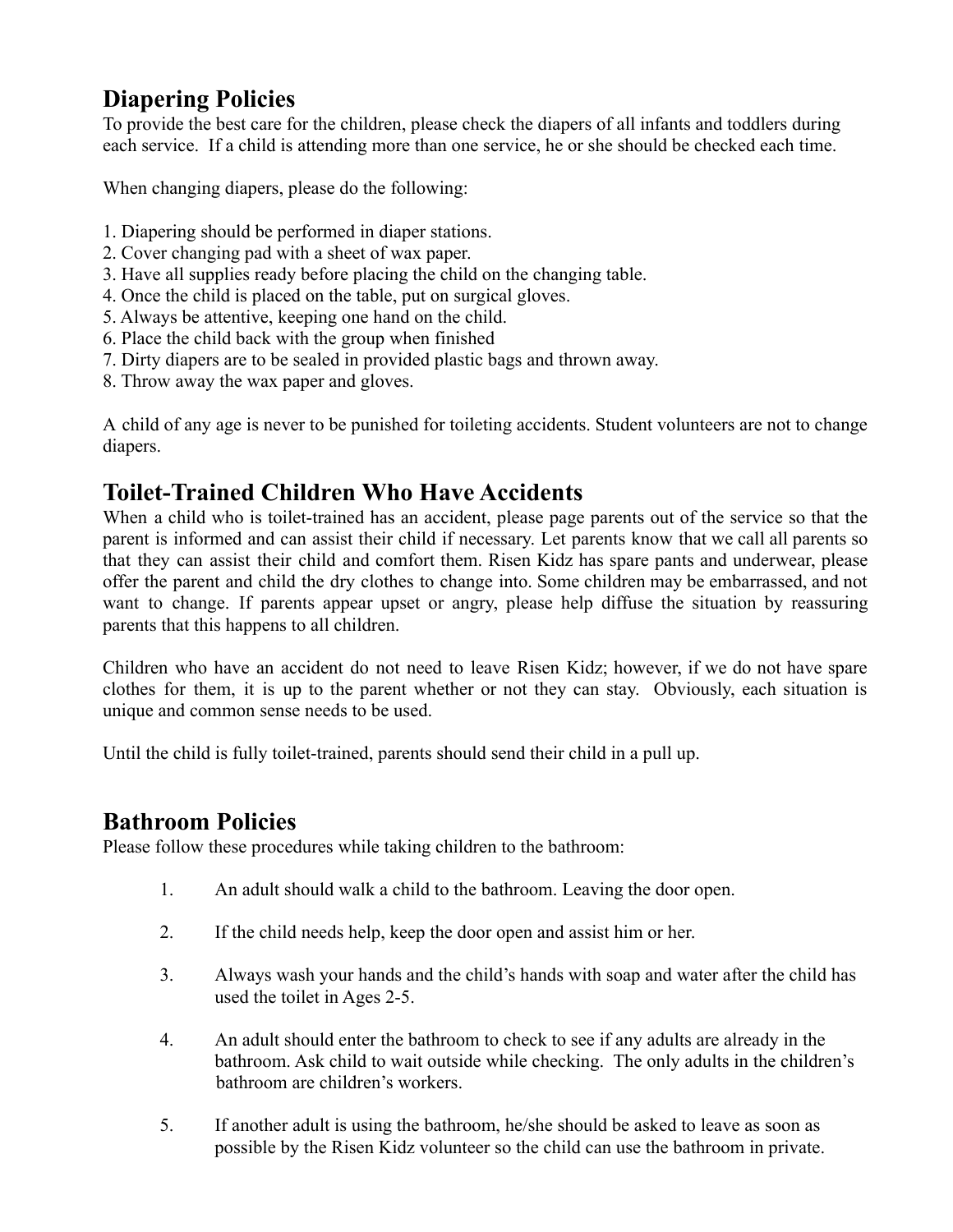#### **Diapering Policies**

To provide the best care for the children, please check the diapers of all infants and toddlers during each service. If a child is attending more than one service, he or she should be checked each time.

When changing diapers, please do the following:

- 1. Diapering should be performed in diaper stations.
- 2. Cover changing pad with a sheet of wax paper.
- 3. Have all supplies ready before placing the child on the changing table.
- 4. Once the child is placed on the table, put on surgical gloves.
- 5. Always be attentive, keeping one hand on the child.
- 6. Place the child back with the group when finished
- 7. Dirty diapers are to be sealed in provided plastic bags and thrown away.
- 8. Throw away the wax paper and gloves.

A child of any age is never to be punished for toileting accidents. Student volunteers are not to change diapers.

### **Toilet-Trained Children Who Have Accidents**

When a child who is toilet-trained has an accident, please page parents out of the service so that the parent is informed and can assist their child if necessary. Let parents know that we call all parents so that they can assist their child and comfort them. Risen Kidz has spare pants and underwear, please offer the parent and child the dry clothes to change into. Some children may be embarrassed, and not want to change. If parents appear upset or angry, please help diffuse the situation by reassuring parents that this happens to all children.

Children who have an accident do not need to leave Risen Kidz; however, if we do not have spare clothes for them, it is up to the parent whether or not they can stay. Obviously, each situation is unique and common sense needs to be used.

Until the child is fully toilet-trained, parents should send their child in a pull up.

#### **Bathroom Policies**

Please follow these procedures while taking children to the bathroom:

- 1. An adult should walk a child to the bathroom. Leaving the door open.
- 2. If the child needs help, keep the door open and assist him or her.
- 3. Always wash your hands and the child's hands with soap and water after the child has used the toilet in Ages 2-5.
- 4. An adult should enter the bathroom to check to see if any adults are already in the bathroom. Ask child to wait outside while checking. The only adults in the children's bathroom are children's workers.
- 5. If another adult is using the bathroom, he/she should be asked to leave as soon as possible by the Risen Kidz volunteer so the child can use the bathroom in private.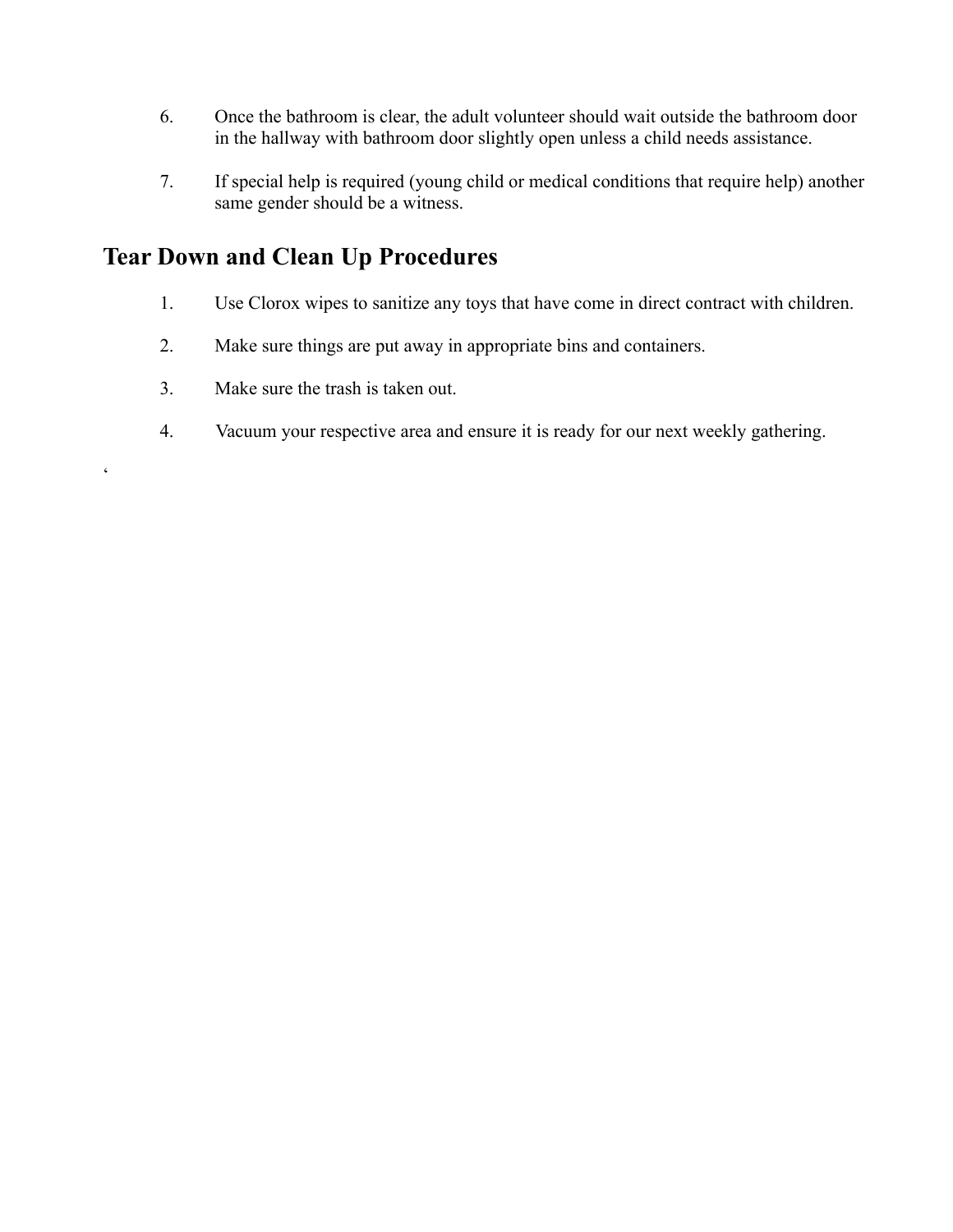- 6. Once the bathroom is clear, the adult volunteer should wait outside the bathroom door in the hallway with bathroom door slightly open unless a child needs assistance.
- 7. If special help is required (young child or medical conditions that require help) another same gender should be a witness.

## **Tear Down and Clean Up Procedures**

- 1. Use Clorox wipes to sanitize any toys that have come in direct contract with children.
- 2. Make sure things are put away in appropriate bins and containers.
- 3. Make sure the trash is taken out.

 $\epsilon$ 

4. Vacuum your respective area and ensure it is ready for our next weekly gathering.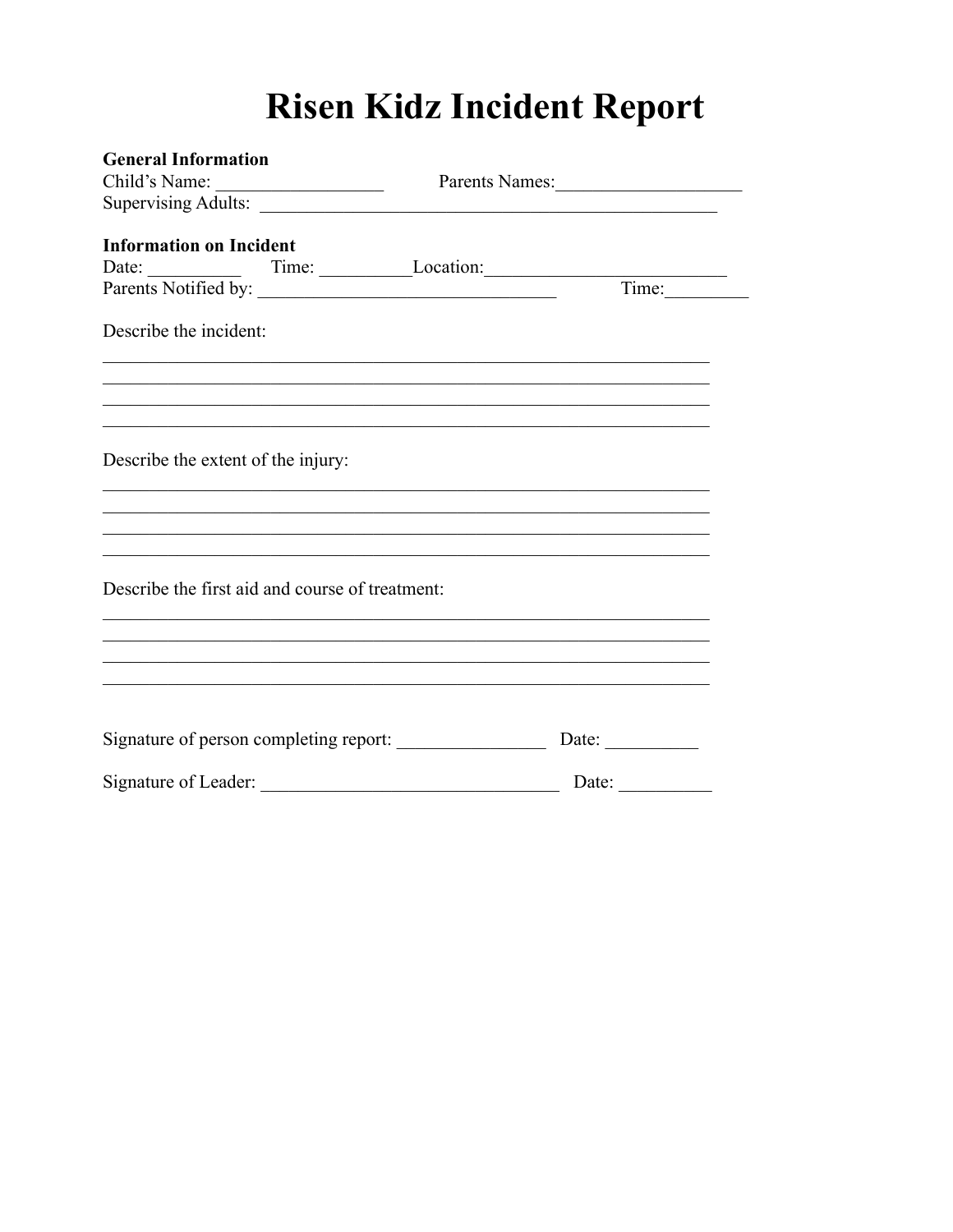# **Risen Kidz Incident Report**

| <b>General Information</b>                                                                                                                                                                                 |  |                       |
|------------------------------------------------------------------------------------------------------------------------------------------------------------------------------------------------------------|--|-----------------------|
| Child's Name:<br>Parents Names:                                                                                                                                                                            |  |                       |
|                                                                                                                                                                                                            |  |                       |
| <b>Information on Incident</b><br>Date: <u>Date:</u> Time: Location: <u>Time:</u> Location: Time:                                                                                                          |  |                       |
|                                                                                                                                                                                                            |  |                       |
| Describe the incident:                                                                                                                                                                                     |  |                       |
| ,我们也不能在这里的人,我们也不能在这里的人,我们也不能在这里的人,我们也不能在这里的人,我们也不能在这里的人,我们也不能在这里的人,我们也不能在这里的人,我们也<br><u> 1989 - Johann Harry Harry Harry Harry Harry Harry Harry Harry Harry Harry Harry Harry Harry Harry Harry Harry</u> |  |                       |
| Describe the extent of the injury:                                                                                                                                                                         |  |                       |
| ,我们也不能在这里的时候,我们也不能在这里的时候,我们也不能在这里的时候,我们也不能会在这里的时候,我们也不能会在这里的时候,我们也不能会在这里的时候,我们也不                                                                                                                           |  |                       |
| Describe the first aid and course of treatment:                                                                                                                                                            |  |                       |
|                                                                                                                                                                                                            |  |                       |
| Signature of person completing report:                                                                                                                                                                     |  | Date: $\_\_$          |
|                                                                                                                                                                                                            |  | Date: $\qquad \qquad$ |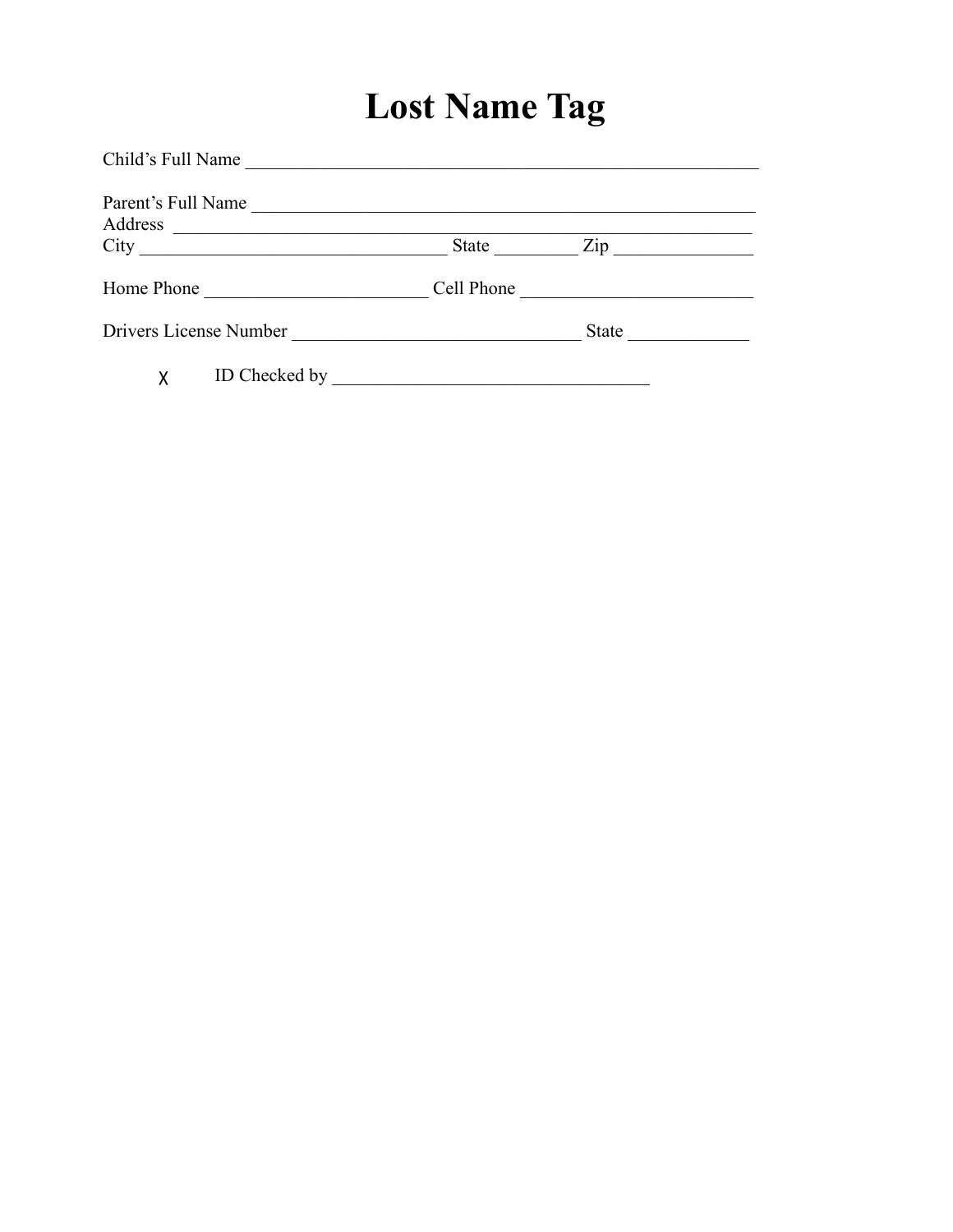# **Lost Name Tag**

| Child's Full Name             |                                                                                                                      |                                                                                                                        |                                                     |  |
|-------------------------------|----------------------------------------------------------------------------------------------------------------------|------------------------------------------------------------------------------------------------------------------------|-----------------------------------------------------|--|
| Parent's Full Name<br>Address |                                                                                                                      |                                                                                                                        |                                                     |  |
|                               |                                                                                                                      | State                                                                                                                  |                                                     |  |
| Home Phone                    | <u> 1980 - Jan Stein Stein Stein Stein Stein Stein Stein Stein Stein Stein Stein Stein Stein Stein Stein Stein S</u> | Cell Phone                                                                                                             | <u> 1989 - Andrea Station Barbara, amerikan per</u> |  |
| Drivers License Number        |                                                                                                                      |                                                                                                                        | State                                               |  |
| X                             | ID Checked by                                                                                                        | <u> 1980 - Johann John Stein, marwolaeth a bhann an t-Amhainn an t-Amhainn an t-Amhainn an t-Amhainn an t-Amhainn </u> |                                                     |  |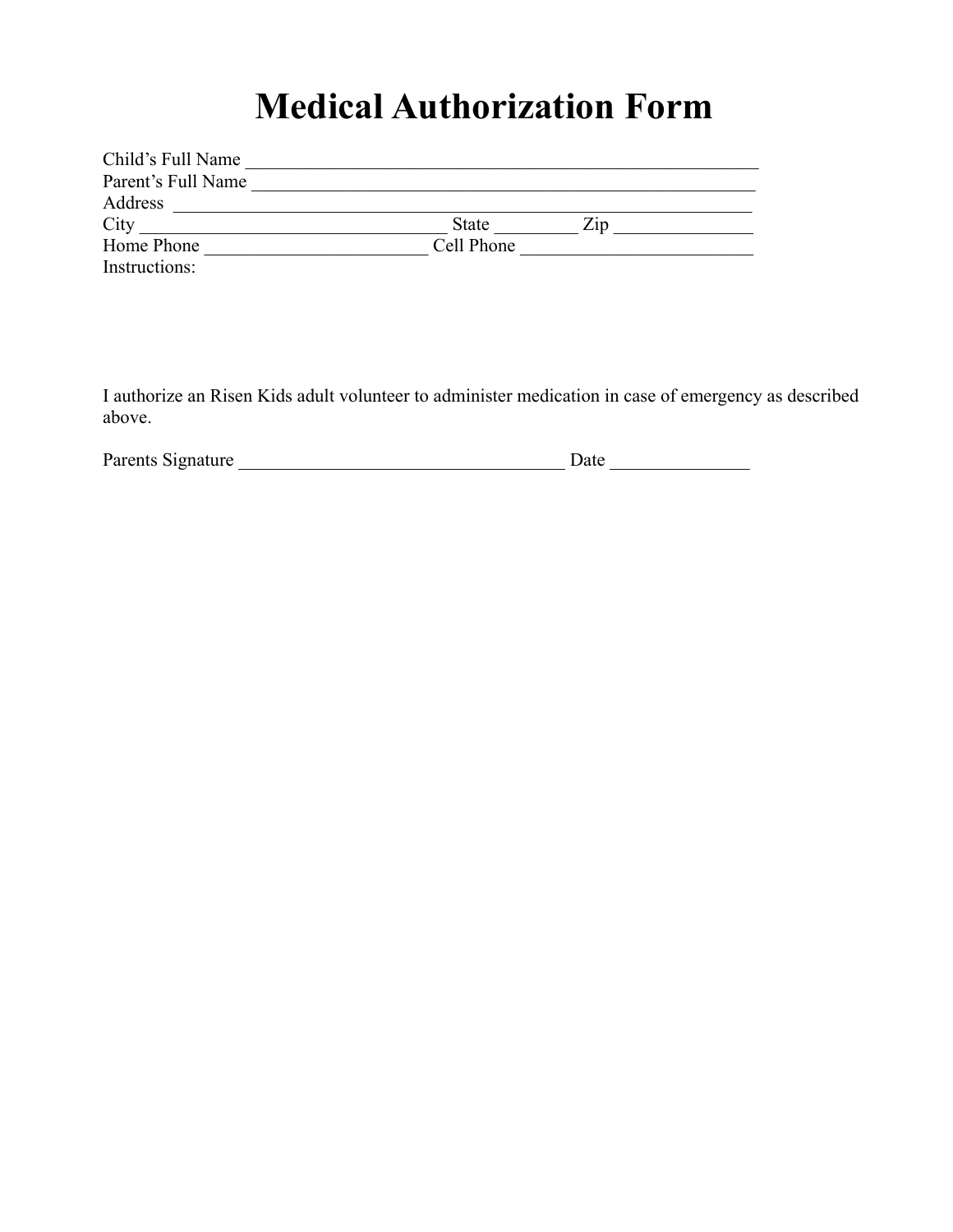## **Medical Authorization Form**

| Child's Full Name  |            |     |  |
|--------------------|------------|-----|--|
| Parent's Full Name |            |     |  |
| Address            |            |     |  |
| City               | State      | Zip |  |
| Home Phone         | Cell Phone |     |  |
| Instructions:      |            |     |  |

I authorize an Risen Kids adult volunteer to administer medication in case of emergency as described above.

| Parents Signature | Jate |  |
|-------------------|------|--|
|                   |      |  |